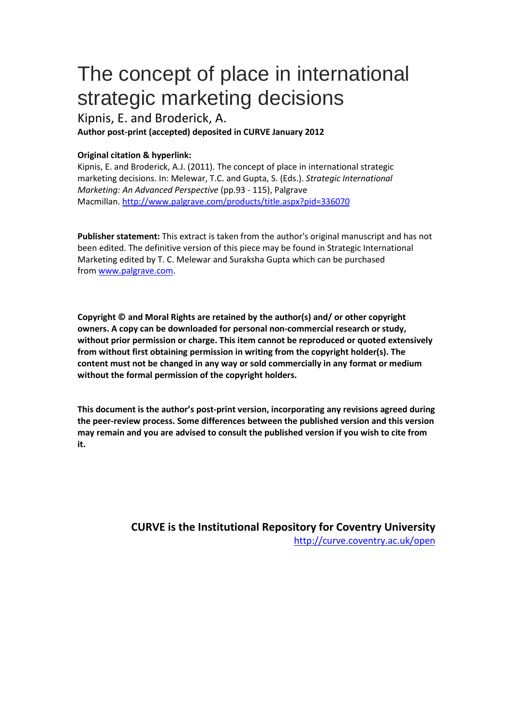# The concept of place in international strategic marketing decisions

Kipnis, E. and Broderick, A. **Author post-print (accepted) deposited in CURVE January 2012**

# **Original citation & hyperlink:**

Kipnis, E. and Broderick, A.J. (2011). The concept of place in international strategic marketing decisions. In: Melewar, T.C. and Gupta, S. (Eds.). *Strategic International Marketing: An Advanced Perspective* (pp.93 - 115), Palgrave Macmillan. http://www.palgrave.com/products/title.aspx?pid=336070

**Publisher statement:** This extract is taken from the author's original manuscript and has not been edited. The definitive version of this piece may be found in Strategic International Marketing edited by T. C. Melewar and Suraksha Gupta which can be purchased from www.palgrave.com.

**[Copyright © and Moral Rights are retained by the author\(s\) and](http://www.palgrave.com/products/title.aspx?pid=336070)/ or other copyright owners. A copy can be downloaded for personal non-commercial research or study, without prior permission or charge. This item cannot be reproduced or quoted extensively from without first obtaining permission in writing from the copyright holder(s). The content must not be changed in any way or sold commercially in any format or medium without the formal permission of the copyright holders.** 

**This document is the author's post-print version, incorporating any revisions agreed during the peer-review process. Some differences between the published version and this version may remain and you are advised to consult the published version if you wish to cite from it.** 

> **CURVE is the Institutional Repository for Coventry University** http://curve.coventry.ac.uk/open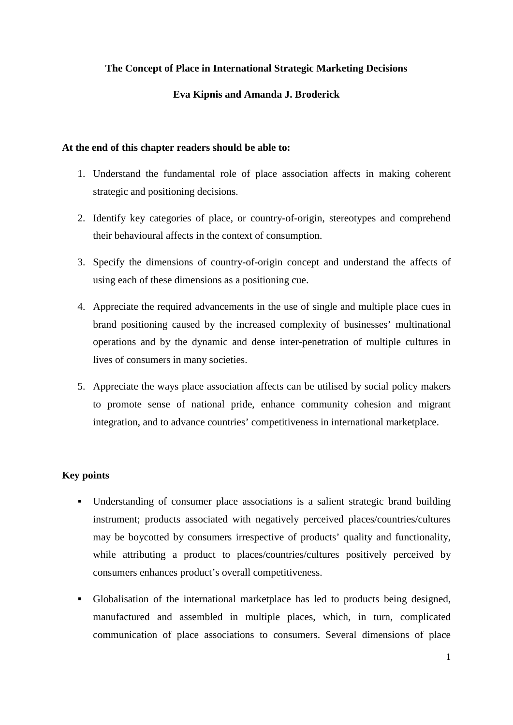# **The Concept of Place in International Strategic Marketing Decisions**

# **Eva Kipnis and Amanda J. Broderick**

# **At the end of this chapter readers should be able to:**

- 1. Understand the fundamental role of place association affects in making coherent strategic and positioning decisions.
- 2. Identify key categories of place, or country-of-origin, stereotypes and comprehend their behavioural affects in the context of consumption.
- 3. Specify the dimensions of country-of-origin concept and understand the affects of using each of these dimensions as a positioning cue.
- 4. Appreciate the required advancements in the use of single and multiple place cues in brand positioning caused by the increased complexity of businesses' multinational operations and by the dynamic and dense inter-penetration of multiple cultures in lives of consumers in many societies.
- 5. Appreciate the ways place association affects can be utilised by social policy makers to promote sense of national pride, enhance community cohesion and migrant integration, and to advance countries' competitiveness in international marketplace.

# **Key points**

- Understanding of consumer place associations is a salient strategic brand building instrument; products associated with negatively perceived places/countries/cultures may be boycotted by consumers irrespective of products' quality and functionality, while attributing a product to places/countries/cultures positively perceived by consumers enhances product's overall competitiveness.
- Globalisation of the international marketplace has led to products being designed, manufactured and assembled in multiple places, which, in turn, complicated communication of place associations to consumers. Several dimensions of place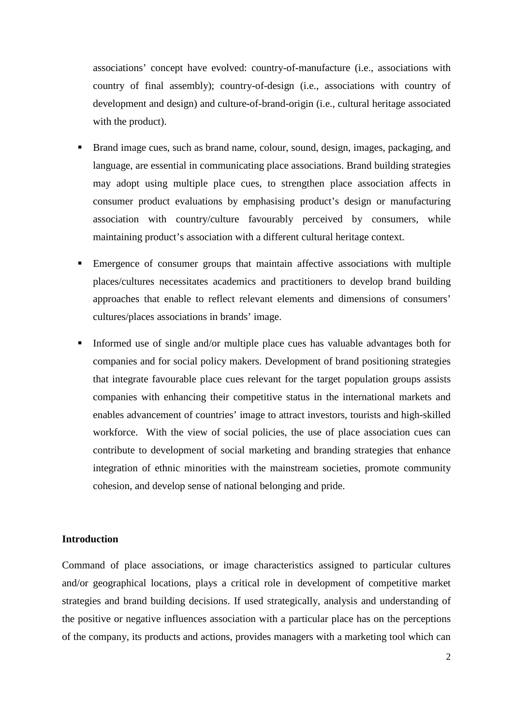associations' concept have evolved: country-of-manufacture (i.e., associations with country of final assembly); country-of-design (i.e., associations with country of development and design) and culture-of-brand-origin (i.e., cultural heritage associated with the product).

- Brand image cues, such as brand name, colour, sound, design, images, packaging, and language, are essential in communicating place associations. Brand building strategies may adopt using multiple place cues, to strengthen place association affects in consumer product evaluations by emphasising product's design or manufacturing association with country/culture favourably perceived by consumers, while maintaining product's association with a different cultural heritage context.
- Emergence of consumer groups that maintain affective associations with multiple places/cultures necessitates academics and practitioners to develop brand building approaches that enable to reflect relevant elements and dimensions of consumers' cultures/places associations in brands' image.
- Informed use of single and/or multiple place cues has valuable advantages both for companies and for social policy makers. Development of brand positioning strategies that integrate favourable place cues relevant for the target population groups assists companies with enhancing their competitive status in the international markets and enables advancement of countries' image to attract investors, tourists and high-skilled workforce. With the view of social policies, the use of place association cues can contribute to development of social marketing and branding strategies that enhance integration of ethnic minorities with the mainstream societies, promote community cohesion, and develop sense of national belonging and pride.

# **Introduction**

Command of place associations, or image characteristics assigned to particular cultures and/or geographical locations, plays a critical role in development of competitive market strategies and brand building decisions. If used strategically, analysis and understanding of the positive or negative influences association with a particular place has on the perceptions of the company, its products and actions, provides managers with a marketing tool which can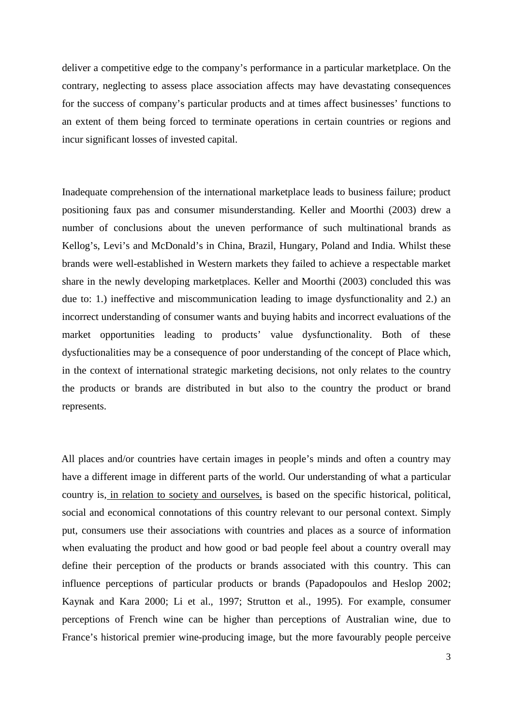deliver a competitive edge to the company's performance in a particular marketplace. On the contrary, neglecting to assess place association affects may have devastating consequences for the success of company's particular products and at times affect businesses' functions to an extent of them being forced to terminate operations in certain countries or regions and incur significant losses of invested capital.

Inadequate comprehension of the international marketplace leads to business failure; product positioning faux pas and consumer misunderstanding. Keller and Moorthi (2003) drew a number of conclusions about the uneven performance of such multinational brands as Kellog's, Levi's and McDonald's in China, Brazil, Hungary, Poland and India. Whilst these brands were well-established in Western markets they failed to achieve a respectable market share in the newly developing marketplaces. Keller and Moorthi (2003) concluded this was due to: 1.) ineffective and miscommunication leading to image dysfunctionality and 2.) an incorrect understanding of consumer wants and buying habits and incorrect evaluations of the market opportunities leading to products' value dysfunctionality. Both of these dysfuctionalities may be a consequence of poor understanding of the concept of Place which, in the context of international strategic marketing decisions, not only relates to the country the products or brands are distributed in but also to the country the product or brand represents.

All places and/or countries have certain images in people's minds and often a country may have a different image in different parts of the world. Our understanding of what a particular country is, in relation to society and ourselves, is based on the specific historical, political, social and economical connotations of this country relevant to our personal context. Simply put, consumers use their associations with countries and places as a source of information when evaluating the product and how good or bad people feel about a country overall may define their perception of the products or brands associated with this country. This can influence perceptions of particular products or brands (Papadopoulos and Heslop 2002; Kaynak and Kara 2000; Li et al., 1997; Strutton et al., 1995). For example, consumer perceptions of French wine can be higher than perceptions of Australian wine, due to France's historical premier wine-producing image, but the more favourably people perceive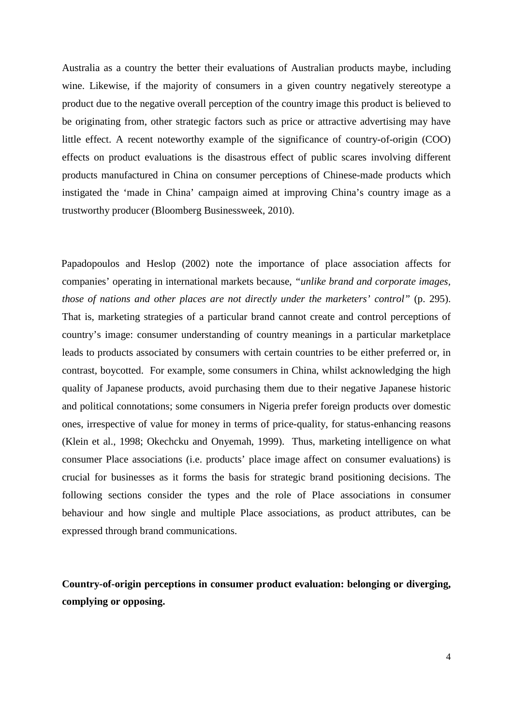Australia as a country the better their evaluations of Australian products maybe, including wine. Likewise, if the majority of consumers in a given country negatively stereotype a product due to the negative overall perception of the country image this product is believed to be originating from, other strategic factors such as price or attractive advertising may have little effect. A recent noteworthy example of the significance of country-of-origin (COO) effects on product evaluations is the disastrous effect of public scares involving different products manufactured in China on consumer perceptions of Chinese-made products which instigated the 'made in China' campaign aimed at improving China's country image as a trustworthy producer (Bloomberg Businessweek, 2010).

Papadopoulos and Heslop (2002) note the importance of place association affects for companies' operating in international markets because, *"unlike brand and corporate images, those of nations and other places are not directly under the marketers' control"* (p. 295). That is, marketing strategies of a particular brand cannot create and control perceptions of country's image: consumer understanding of country meanings in a particular marketplace leads to products associated by consumers with certain countries to be either preferred or, in contrast, boycotted. For example, some consumers in China, whilst acknowledging the high quality of Japanese products, avoid purchasing them due to their negative Japanese historic and political connotations; some consumers in Nigeria prefer foreign products over domestic ones, irrespective of value for money in terms of price-quality, for status-enhancing reasons (Klein et al., 1998; Okechcku and Onyemah, 1999). Thus, marketing intelligence on what consumer Place associations (i.e. products' place image affect on consumer evaluations) is crucial for businesses as it forms the basis for strategic brand positioning decisions. The following sections consider the types and the role of Place associations in consumer behaviour and how single and multiple Place associations, as product attributes, can be expressed through brand communications.

**Country-of-origin perceptions in consumer product evaluation: belonging or diverging, complying or opposing.**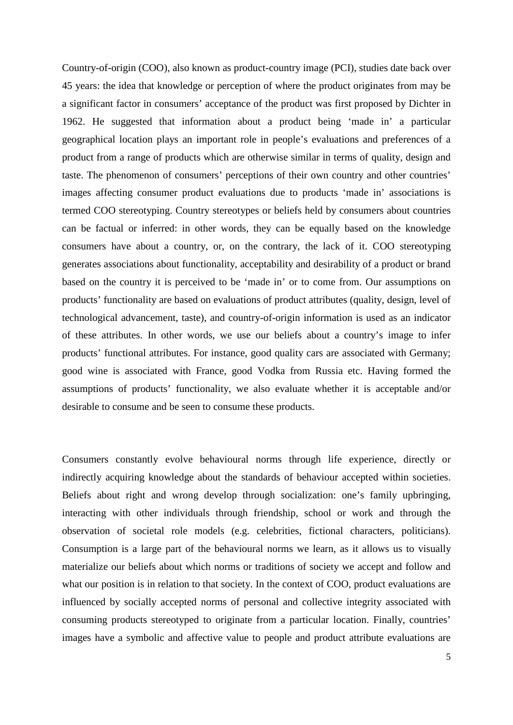Country-of-origin (COO), also known as product-country image (PCI), studies date back over 45 years: the idea that knowledge or perception of where the product originates from may be a significant factor in consumers' acceptance of the product was first proposed by Dichter in 1962. He suggested that information about a product being 'made in' a particular geographical location plays an important role in people's evaluations and preferences of a product from a range of products which are otherwise similar in terms of quality, design and taste. The phenomenon of consumers' perceptions of their own country and other countries' images affecting consumer product evaluations due to products 'made in' associations is termed COO stereotyping. Country stereotypes or beliefs held by consumers about countries can be factual or inferred: in other words, they can be equally based on the knowledge consumers have about a country, or, on the contrary, the lack of it. COO stereotyping generates associations about functionality, acceptability and desirability of a product or brand based on the country it is perceived to be 'made in' or to come from. Our assumptions on products' functionality are based on evaluations of product attributes (quality, design, level of technological advancement, taste), and country-of-origin information is used as an indicator of these attributes. In other words, we use our beliefs about a country's image to infer products' functional attributes. For instance, good quality cars are associated with Germany; good wine is associated with France, good Vodka from Russia etc. Having formed the assumptions of products' functionality, we also evaluate whether it is acceptable and/or desirable to consume and be seen to consume these products.

Consumers constantly evolve behavioural norms through life experience, directly or indirectly acquiring knowledge about the standards of behaviour accepted within societies. Beliefs about right and wrong develop through socialization: one's family upbringing, interacting with other individuals through friendship, school or work and through the observation of societal role models (e.g. celebrities, fictional characters, politicians). Consumption is a large part of the behavioural norms we learn, as it allows us to visually materialize our beliefs about which norms or traditions of society we accept and follow and what our position is in relation to that society. In the context of COO, product evaluations are influenced by socially accepted norms of personal and collective integrity associated with consuming products stereotyped to originate from a particular location. Finally, countries' images have a symbolic and affective value to people and product attribute evaluations are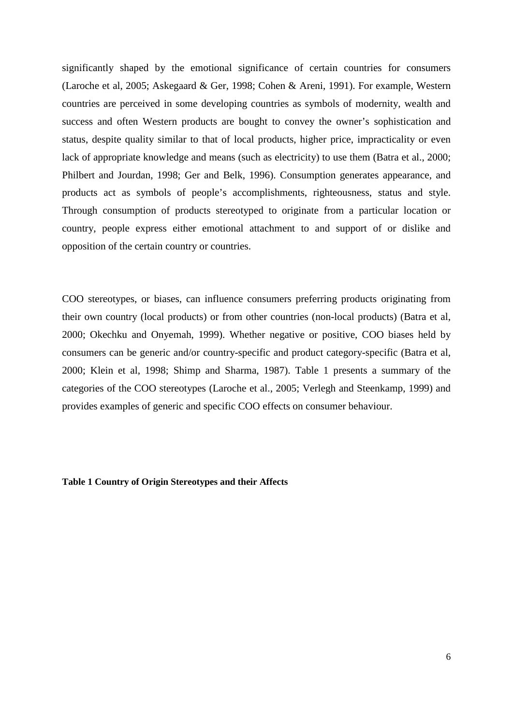significantly shaped by the emotional significance of certain countries for consumers (Laroche et al, 2005; Askegaard & Ger, 1998; Cohen & Areni, 1991). For example, Western countries are perceived in some developing countries as symbols of modernity, wealth and success and often Western products are bought to convey the owner's sophistication and status, despite quality similar to that of local products, higher price, impracticality or even lack of appropriate knowledge and means (such as electricity) to use them (Batra et al., 2000; Philbert and Jourdan, 1998; Ger and Belk, 1996). Consumption generates appearance, and products act as symbols of people's accomplishments, righteousness, status and style. Through consumption of products stereotyped to originate from a particular location or country, people express either emotional attachment to and support of or dislike and opposition of the certain country or countries.

COO stereotypes, or biases, can influence consumers preferring products originating from their own country (local products) or from other countries (non-local products) (Batra et al, 2000; Okechku and Onyemah, 1999). Whether negative or positive, COO biases held by consumers can be generic and/or country-specific and product category-specific (Batra et al, 2000; Klein et al, 1998; Shimp and Sharma, 1987). Table 1 presents a summary of the categories of the COO stereotypes (Laroche et al., 2005; Verlegh and Steenkamp, 1999) and provides examples of generic and specific COO effects on consumer behaviour.

## **Table 1 Country of Origin Stereotypes and their Affects**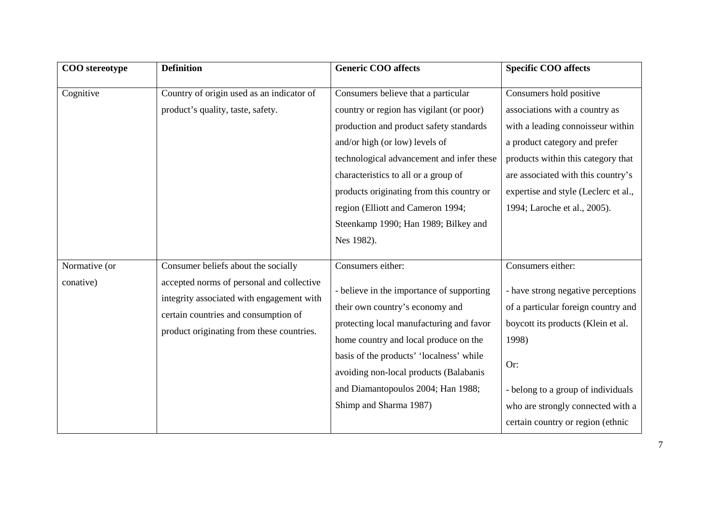| COO stereotype | <b>Definition</b>                         | <b>Generic COO affects</b>                | <b>Specific COO affects</b>          |
|----------------|-------------------------------------------|-------------------------------------------|--------------------------------------|
| Cognitive      | Country of origin used as an indicator of | Consumers believe that a particular       | Consumers hold positive              |
|                | product's quality, taste, safety.         | country or region has vigilant (or poor)  | associations with a country as       |
|                |                                           | production and product safety standards   | with a leading connoisseur within    |
|                |                                           | and/or high (or low) levels of            | a product category and prefer        |
|                |                                           | technological advancement and infer these | products within this category that   |
|                |                                           | characteristics to all or a group of      | are associated with this country's   |
|                |                                           | products originating from this country or | expertise and style (Leclerc et al., |
|                |                                           | region (Elliott and Cameron 1994;         | 1994; Laroche et al., 2005).         |
|                |                                           | Steenkamp 1990; Han 1989; Bilkey and      |                                      |
|                |                                           | Nes 1982).                                |                                      |
| Normative (or  | Consumer beliefs about the socially       | Consumers either:                         | Consumers either:                    |
| conative)      | accepted norms of personal and collective |                                           |                                      |
|                | integrity associated with engagement with | - believe in the importance of supporting | - have strong negative perceptions   |
|                | certain countries and consumption of      | their own country's economy and           | of a particular foreign country and  |
|                | product originating from these countries. | protecting local manufacturing and favor  | boycott its products (Klein et al.   |
|                |                                           | home country and local produce on the     | 1998)                                |
|                |                                           | basis of the products' 'localness' while  | Or:                                  |
|                |                                           | avoiding non-local products (Balabanis    |                                      |
|                |                                           | and Diamantopoulos 2004; Han 1988;        | - belong to a group of individuals   |
|                |                                           | Shimp and Sharma 1987)                    | who are strongly connected with a    |
|                |                                           |                                           | certain country or region (ethnic    |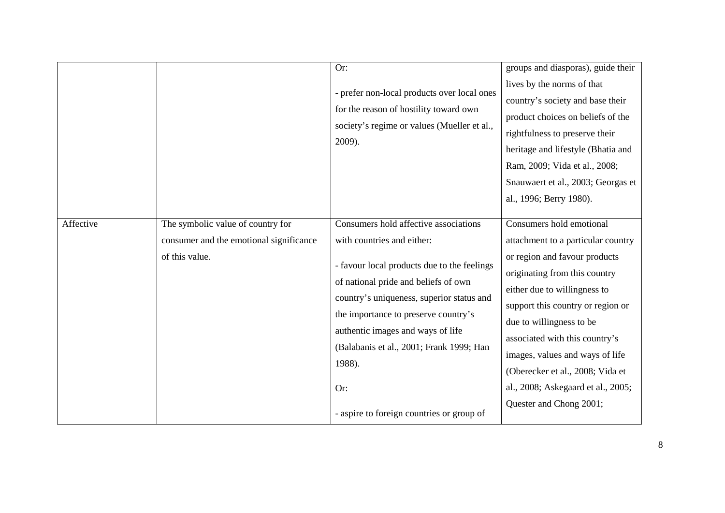|           |                                                                                                | Or:<br>- prefer non-local products over local ones<br>for the reason of hostility toward own<br>society's regime or values (Mueller et al.,<br>2009).                                                                                                                                                                                                                                          | groups and diasporas), guide their<br>lives by the norms of that<br>country's society and base their<br>product choices on beliefs of the<br>rightfulness to preserve their<br>heritage and lifestyle (Bhatia and<br>Ram, 2009; Vida et al., 2008;<br>Snauwaert et al., 2003; Georgas et<br>al., 1996; Berry 1980).                                                                                         |
|-----------|------------------------------------------------------------------------------------------------|------------------------------------------------------------------------------------------------------------------------------------------------------------------------------------------------------------------------------------------------------------------------------------------------------------------------------------------------------------------------------------------------|-------------------------------------------------------------------------------------------------------------------------------------------------------------------------------------------------------------------------------------------------------------------------------------------------------------------------------------------------------------------------------------------------------------|
| Affective | The symbolic value of country for<br>consumer and the emotional significance<br>of this value. | Consumers hold affective associations<br>with countries and either:<br>- favour local products due to the feelings<br>of national pride and beliefs of own<br>country's uniqueness, superior status and<br>the importance to preserve country's<br>authentic images and ways of life<br>(Balabanis et al., 2001; Frank 1999; Han<br>1988).<br>Or:<br>- aspire to foreign countries or group of | Consumers hold emotional<br>attachment to a particular country<br>or region and favour products<br>originating from this country<br>either due to willingness to<br>support this country or region or<br>due to willingness to be<br>associated with this country's<br>images, values and ways of life<br>(Oberecker et al., 2008; Vida et<br>al., 2008; Askegaard et al., 2005;<br>Quester and Chong 2001; |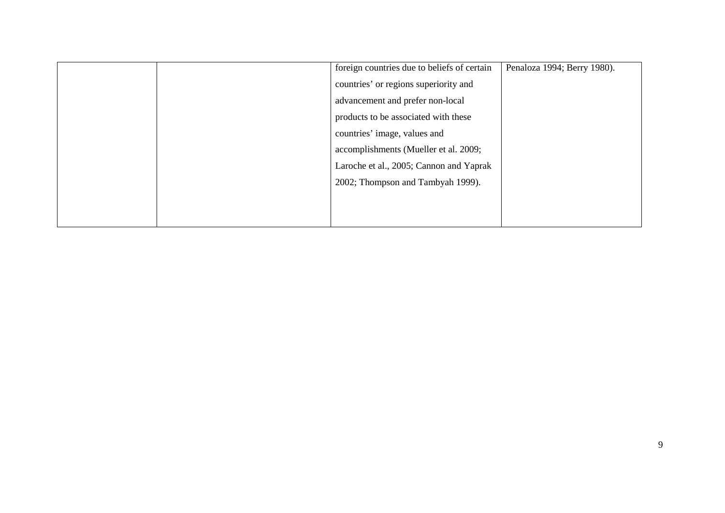|  | foreign countries due to beliefs of certain | Penaloza 1994; Berry 1980). |
|--|---------------------------------------------|-----------------------------|
|  | countries' or regions superiority and       |                             |
|  | advancement and prefer non-local            |                             |
|  | products to be associated with these        |                             |
|  | countries' image, values and                |                             |
|  | accomplishments (Mueller et al. 2009;       |                             |
|  | Laroche et al., 2005; Cannon and Yaprak     |                             |
|  | 2002; Thompson and Tambyah 1999).           |                             |
|  |                                             |                             |
|  |                                             |                             |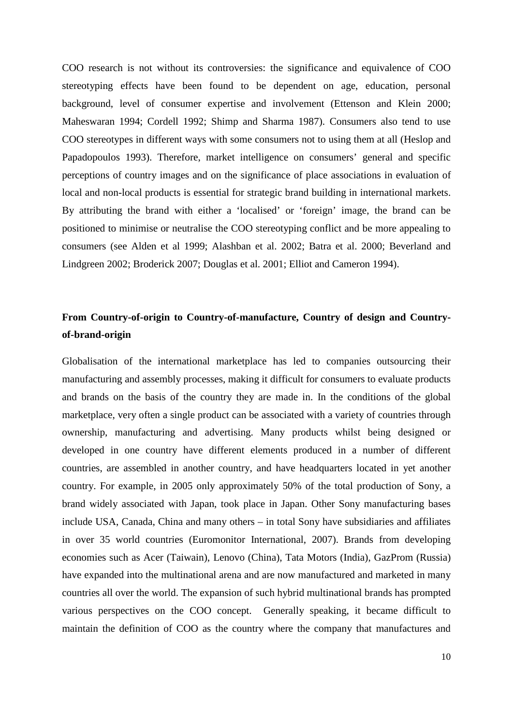COO research is not without its controversies: the significance and equivalence of COO stereotyping effects have been found to be dependent on age, education, personal background, level of consumer expertise and involvement (Ettenson and Klein 2000; Maheswaran 1994; Cordell 1992; Shimp and Sharma 1987). Consumers also tend to use COO stereotypes in different ways with some consumers not to using them at all (Heslop and Papadopoulos 1993). Therefore, market intelligence on consumers' general and specific perceptions of country images and on the significance of place associations in evaluation of local and non-local products is essential for strategic brand building in international markets. By attributing the brand with either a 'localised' or 'foreign' image, the brand can be positioned to minimise or neutralise the COO stereotyping conflict and be more appealing to consumers (see Alden et al 1999; Alashban et al. 2002; Batra et al. 2000; Beverland and Lindgreen 2002; Broderick 2007; Douglas et al. 2001; Elliot and Cameron 1994).

# **From Country-of-origin to Country-of-manufacture, Country of design and Countryof-brand-origin**

Globalisation of the international marketplace has led to companies outsourcing their manufacturing and assembly processes, making it difficult for consumers to evaluate products and brands on the basis of the country they are made in. In the conditions of the global marketplace, very often a single product can be associated with a variety of countries through ownership, manufacturing and advertising. Many products whilst being designed or developed in one country have different elements produced in a number of different countries, are assembled in another country, and have headquarters located in yet another country. For example, in 2005 only approximately 50% of the total production of Sony, a brand widely associated with Japan, took place in Japan. Other Sony manufacturing bases include USA, Canada, China and many others – in total Sony have subsidiaries and affiliates in over 35 world countries (Euromonitor International, 2007). Brands from developing economies such as Acer (Taiwain), Lenovo (China), Tata Motors (India), GazProm (Russia) have expanded into the multinational arena and are now manufactured and marketed in many countries all over the world. The expansion of such hybrid multinational brands has prompted various perspectives on the COO concept. Generally speaking, it became difficult to maintain the definition of COO as the country where the company that manufactures and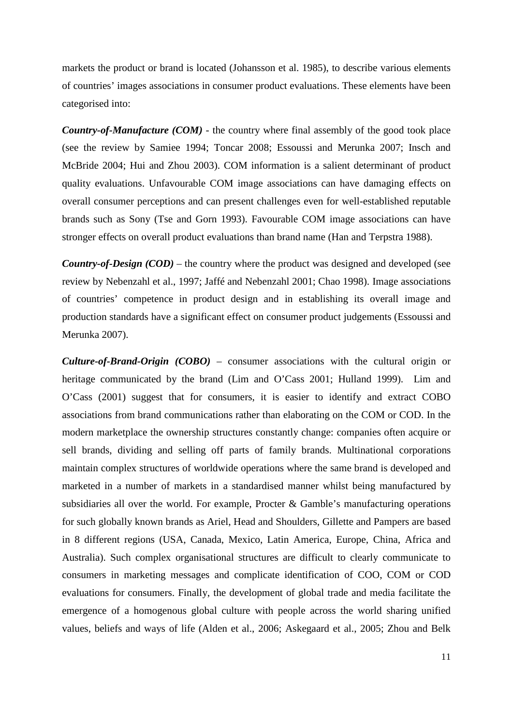markets the product or brand is located (Johansson et al. 1985), to describe various elements of countries' images associations in consumer product evaluations. These elements have been categorised into:

*Country-of-Manufacture (COM)* - the country where final assembly of the good took place (see the review by Samiee 1994; Toncar 2008; Essoussi and Merunka 2007; Insch and McBride 2004; Hui and Zhou 2003). COM information is a salient determinant of product quality evaluations. Unfavourable COM image associations can have damaging effects on overall consumer perceptions and can present challenges even for well-established reputable brands such as Sony (Tse and Gorn 1993). Favourable COM image associations can have stronger effects on overall product evaluations than brand name (Han and Terpstra 1988).

*Country-of-Design (COD)* – the country where the product was designed and developed (see review by Nebenzahl et al., 1997; Jaffé and Nebenzahl 2001; Chao 1998). Image associations of countries' competence in product design and in establishing its overall image and production standards have a significant effect on consumer product judgements (Essoussi and Merunka 2007).

*Culture-of-Brand-Origin (COBO)* – consumer associations with the cultural origin or heritage communicated by the brand (Lim and O'Cass 2001; Hulland 1999). Lim and O'Cass (2001) suggest that for consumers, it is easier to identify and extract COBO associations from brand communications rather than elaborating on the COM or COD. In the modern marketplace the ownership structures constantly change: companies often acquire or sell brands, dividing and selling off parts of family brands. Multinational corporations maintain complex structures of worldwide operations where the same brand is developed and marketed in a number of markets in a standardised manner whilst being manufactured by subsidiaries all over the world. For example, Procter & Gamble's manufacturing operations for such globally known brands as Ariel, Head and Shoulders, Gillette and Pampers are based in 8 different regions (USA, Canada, Mexico, Latin America, Europe, China, Africa and Australia). Such complex organisational structures are difficult to clearly communicate to consumers in marketing messages and complicate identification of COO, COM or COD evaluations for consumers. Finally, the development of global trade and media facilitate the emergence of a homogenous global culture with people across the world sharing unified values, beliefs and ways of life (Alden et al., 2006; Askegaard et al., 2005; Zhou and Belk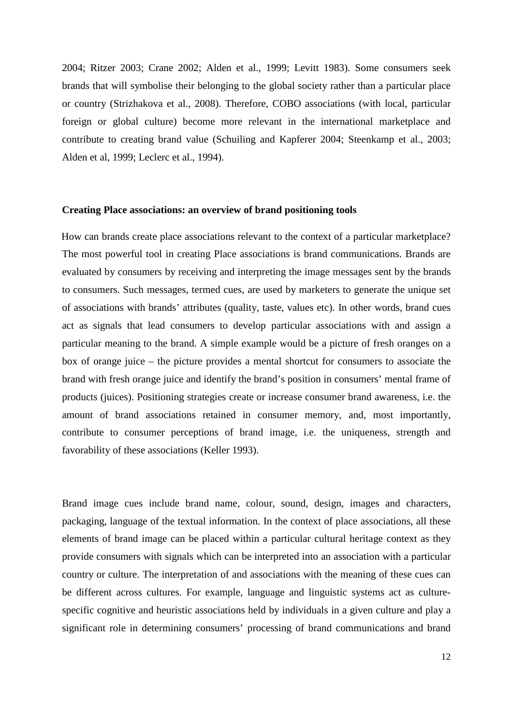2004; Ritzer 2003; Crane 2002; Alden et al., 1999; Levitt 1983). Some consumers seek brands that will symbolise their belonging to the global society rather than a particular place or country (Strizhakova et al., 2008). Therefore, COBO associations (with local, particular foreign or global culture) become more relevant in the international marketplace and contribute to creating brand value (Schuiling and Kapferer 2004; Steenkamp et al., 2003; Alden et al, 1999; Leclerc et al., 1994).

#### **Creating Place associations: an overview of brand positioning tools**

How can brands create place associations relevant to the context of a particular marketplace? The most powerful tool in creating Place associations is brand communications. Brands are evaluated by consumers by receiving and interpreting the image messages sent by the brands to consumers. Such messages, termed cues, are used by marketers to generate the unique set of associations with brands' attributes (quality, taste, values etc). In other words, brand cues act as signals that lead consumers to develop particular associations with and assign a particular meaning to the brand. A simple example would be a picture of fresh oranges on a box of orange juice – the picture provides a mental shortcut for consumers to associate the brand with fresh orange juice and identify the brand's position in consumers' mental frame of products (juices). Positioning strategies create or increase consumer brand awareness, i.e. the amount of brand associations retained in consumer memory, and, most importantly, contribute to consumer perceptions of brand image, i.e. the uniqueness, strength and favorability of these associations (Keller 1993).

Brand image cues include brand name, colour, sound, design, images and characters, packaging, language of the textual information. In the context of place associations, all these elements of brand image can be placed within a particular cultural heritage context as they provide consumers with signals which can be interpreted into an association with a particular country or culture. The interpretation of and associations with the meaning of these cues can be different across cultures. For example, language and linguistic systems act as culturespecific cognitive and heuristic associations held by individuals in a given culture and play a significant role in determining consumers' processing of brand communications and brand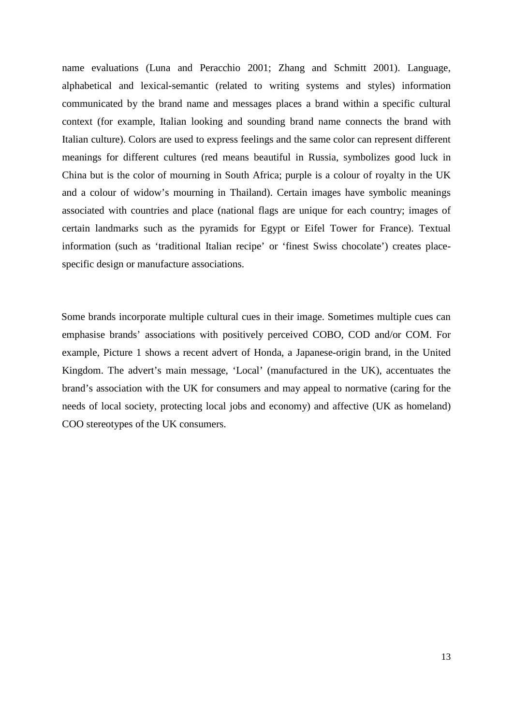name evaluations (Luna and Peracchio 2001; Zhang and Schmitt 2001). Language, alphabetical and lexical-semantic (related to writing systems and styles) information communicated by the brand name and messages places a brand within a specific cultural context (for example, Italian looking and sounding brand name connects the brand with Italian culture). Colors are used to express feelings and the same color can represent different meanings for different cultures (red means beautiful in Russia, symbolizes good luck in China but is the color of mourning in South Africa; purple is a colour of royalty in the UK and a colour of widow's mourning in Thailand). Certain images have symbolic meanings associated with countries and place (national flags are unique for each country; images of certain landmarks such as the pyramids for Egypt or Eifel Tower for France). Textual information (such as 'traditional Italian recipe' or 'finest Swiss chocolate') creates placespecific design or manufacture associations.

Some brands incorporate multiple cultural cues in their image. Sometimes multiple cues can emphasise brands' associations with positively perceived COBO, COD and/or COM. For example, Picture 1 shows a recent advert of Honda, a Japanese-origin brand, in the United Kingdom. The advert's main message, 'Local' (manufactured in the UK), accentuates the brand's association with the UK for consumers and may appeal to normative (caring for the needs of local society, protecting local jobs and economy) and affective (UK as homeland) COO stereotypes of the UK consumers.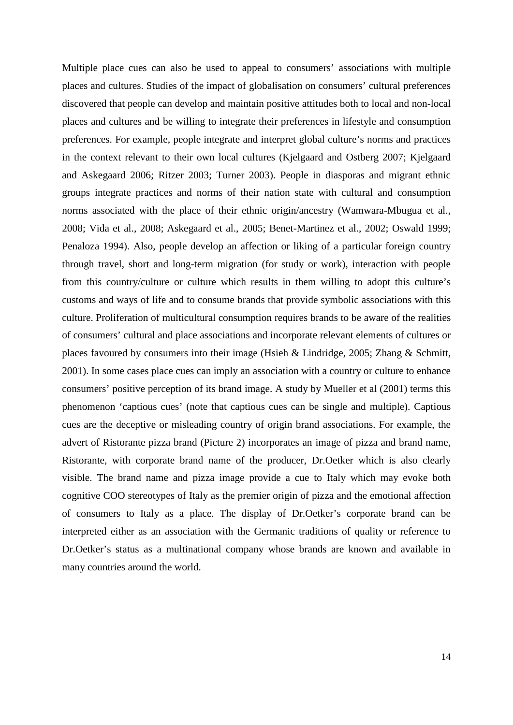Multiple place cues can also be used to appeal to consumers' associations with multiple places and cultures. Studies of the impact of globalisation on consumers' cultural preferences discovered that people can develop and maintain positive attitudes both to local and non-local places and cultures and be willing to integrate their preferences in lifestyle and consumption preferences. For example, people integrate and interpret global culture's norms and practices in the context relevant to their own local cultures (Kjelgaard and Ostberg 2007; Kjelgaard and Askegaard 2006; Ritzer 2003; Turner 2003). People in diasporas and migrant ethnic groups integrate practices and norms of their nation state with cultural and consumption norms associated with the place of their ethnic origin/ancestry (Wamwara-Mbugua et al., 2008; Vida et al., 2008; Askegaard et al., 2005; Benet-Martinez et al., 2002; Oswald 1999; Penaloza 1994). Also, people develop an affection or liking of a particular foreign country through travel, short and long-term migration (for study or work), interaction with people from this country/culture or culture which results in them willing to adopt this culture's customs and ways of life and to consume brands that provide symbolic associations with this culture. Proliferation of multicultural consumption requires brands to be aware of the realities of consumers' cultural and place associations and incorporate relevant elements of cultures or places favoured by consumers into their image (Hsieh & Lindridge, 2005; Zhang & Schmitt, 2001). In some cases place cues can imply an association with a country or culture to enhance consumers' positive perception of its brand image. A study by Mueller et al (2001) terms this phenomenon 'captious cues' (note that captious cues can be single and multiple). Captious cues are the deceptive or misleading country of origin brand associations. For example, the advert of Ristorante pizza brand (Picture 2) incorporates an image of pizza and brand name, Ristorante, with corporate brand name of the producer, Dr.Oetker which is also clearly visible. The brand name and pizza image provide a cue to Italy which may evoke both cognitive COO stereotypes of Italy as the premier origin of pizza and the emotional affection of consumers to Italy as a place. The display of Dr.Oetker's corporate brand can be interpreted either as an association with the Germanic traditions of quality or reference to Dr.Oetker's status as a multinational company whose brands are known and available in many countries around the world.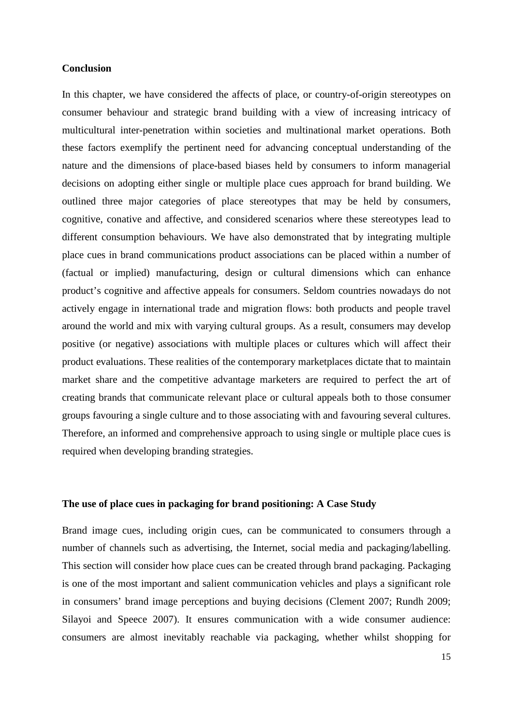# **Conclusion**

In this chapter, we have considered the affects of place, or country-of-origin stereotypes on consumer behaviour and strategic brand building with a view of increasing intricacy of multicultural inter-penetration within societies and multinational market operations. Both these factors exemplify the pertinent need for advancing conceptual understanding of the nature and the dimensions of place-based biases held by consumers to inform managerial decisions on adopting either single or multiple place cues approach for brand building. We outlined three major categories of place stereotypes that may be held by consumers, cognitive, conative and affective, and considered scenarios where these stereotypes lead to different consumption behaviours. We have also demonstrated that by integrating multiple place cues in brand communications product associations can be placed within a number of (factual or implied) manufacturing, design or cultural dimensions which can enhance product's cognitive and affective appeals for consumers. Seldom countries nowadays do not actively engage in international trade and migration flows: both products and people travel around the world and mix with varying cultural groups. As a result, consumers may develop positive (or negative) associations with multiple places or cultures which will affect their product evaluations. These realities of the contemporary marketplaces dictate that to maintain market share and the competitive advantage marketers are required to perfect the art of creating brands that communicate relevant place or cultural appeals both to those consumer groups favouring a single culture and to those associating with and favouring several cultures. Therefore, an informed and comprehensive approach to using single or multiple place cues is required when developing branding strategies.

# **The use of place cues in packaging for brand positioning: A Case Study**

Brand image cues, including origin cues, can be communicated to consumers through a number of channels such as advertising, the Internet, social media and packaging/labelling. This section will consider how place cues can be created through brand packaging. Packaging is one of the most important and salient communication vehicles and plays a significant role in consumers' brand image perceptions and buying decisions (Clement 2007; Rundh 2009; Silayoi and Speece 2007). It ensures communication with a wide consumer audience: consumers are almost inevitably reachable via packaging, whether whilst shopping for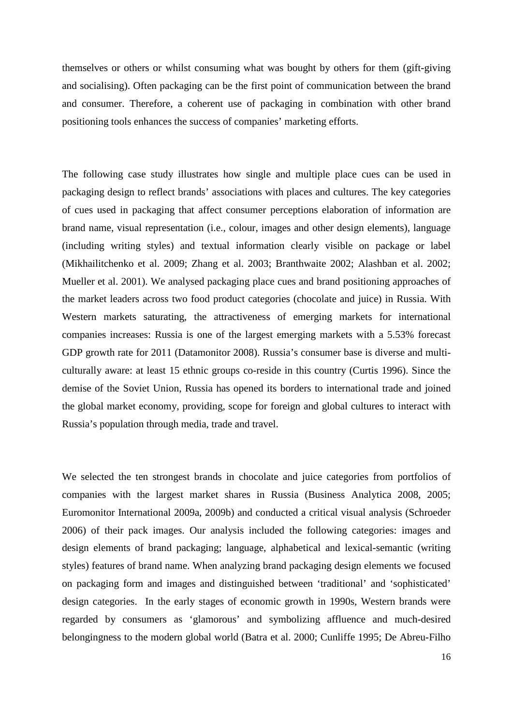themselves or others or whilst consuming what was bought by others for them (gift-giving and socialising). Often packaging can be the first point of communication between the brand and consumer. Therefore, a coherent use of packaging in combination with other brand positioning tools enhances the success of companies' marketing efforts.

The following case study illustrates how single and multiple place cues can be used in packaging design to reflect brands' associations with places and cultures. The key categories of cues used in packaging that affect consumer perceptions elaboration of information are brand name, visual representation (i.e., colour, images and other design elements), language (including writing styles) and textual information clearly visible on package or label (Mikhailitchenko et al. 2009; Zhang et al. 2003; Branthwaite 2002; Alashban et al. 2002; Mueller et al. 2001). We analysed packaging place cues and brand positioning approaches of the market leaders across two food product categories (chocolate and juice) in Russia. With Western markets saturating, the attractiveness of emerging markets for international companies increases: Russia is one of the largest emerging markets with a 5.53% forecast GDP growth rate for 2011 (Datamonitor 2008). Russia's consumer base is diverse and multiculturally aware: at least 15 ethnic groups co-reside in this country (Curtis 1996). Since the demise of the Soviet Union, Russia has opened its borders to international trade and joined the global market economy, providing, scope for foreign and global cultures to interact with Russia's population through media, trade and travel.

We selected the ten strongest brands in chocolate and juice categories from portfolios of companies with the largest market shares in Russia (Business Analytica 2008, 2005; Euromonitor International 2009a, 2009b) and conducted a critical visual analysis (Schroeder 2006) of their pack images. Our analysis included the following categories: images and design elements of brand packaging; language, alphabetical and lexical-semantic (writing styles) features of brand name. When analyzing brand packaging design elements we focused on packaging form and images and distinguished between 'traditional' and 'sophisticated' design categories. In the early stages of economic growth in 1990s, Western brands were regarded by consumers as 'glamorous' and symbolizing affluence and much-desired belongingness to the modern global world (Batra et al. 2000; Cunliffe 1995; De Abreu-Filho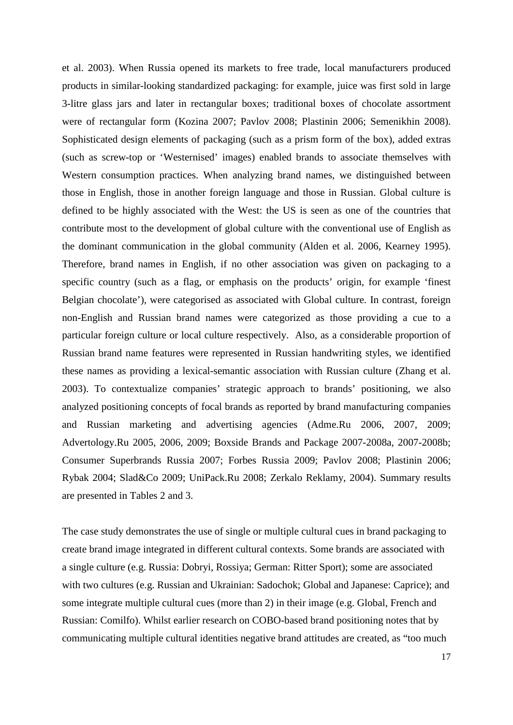et al. 2003). When Russia opened its markets to free trade, local manufacturers produced products in similar-looking standardized packaging: for example, juice was first sold in large 3-litre glass jars and later in rectangular boxes; traditional boxes of chocolate assortment were of rectangular form (Kozina 2007; Pavlov 2008; Plastinin 2006; Semenikhin 2008). Sophisticated design elements of packaging (such as a prism form of the box), added extras (such as screw-top or 'Westernised' images) enabled brands to associate themselves with Western consumption practices. When analyzing brand names, we distinguished between those in English, those in another foreign language and those in Russian. Global culture is defined to be highly associated with the West: the US is seen as one of the countries that contribute most to the development of global culture with the conventional use of English as the dominant communication in the global community (Alden et al. 2006, Kearney 1995). Therefore, brand names in English, if no other association was given on packaging to a specific country (such as a flag, or emphasis on the products' origin, for example 'finest Belgian chocolate'), were categorised as associated with Global culture. In contrast, foreign non-English and Russian brand names were categorized as those providing a cue to a particular foreign culture or local culture respectively. Also, as a considerable proportion of Russian brand name features were represented in Russian handwriting styles, we identified these names as providing a lexical-semantic association with Russian culture (Zhang et al. 2003). To contextualize companies' strategic approach to brands' positioning, we also analyzed positioning concepts of focal brands as reported by brand manufacturing companies and Russian marketing and advertising agencies (Adme.Ru 2006, 2007, 2009; Advertology.Ru 2005, 2006, 2009; Boxside Brands and Package 2007-2008a, 2007-2008b; Consumer Superbrands Russia 2007; Forbes Russia 2009; Pavlov 2008; Plastinin 2006; Rybak 2004; Slad&Co 2009; UniPack.Ru 2008; Zerkalo Reklamy, 2004). Summary results are presented in Tables 2 and 3.

The case study demonstrates the use of single or multiple cultural cues in brand packaging to create brand image integrated in different cultural contexts. Some brands are associated with a single culture (e.g. Russia: Dobryi, Rossiya; German: Ritter Sport); some are associated with two cultures (e.g. Russian and Ukrainian: Sadochok; Global and Japanese: Caprice); and some integrate multiple cultural cues (more than 2) in their image (e.g. Global, French and Russian: Comilfo). Whilst earlier research on COBO-based brand positioning notes that by communicating multiple cultural identities negative brand attitudes are created, as "too much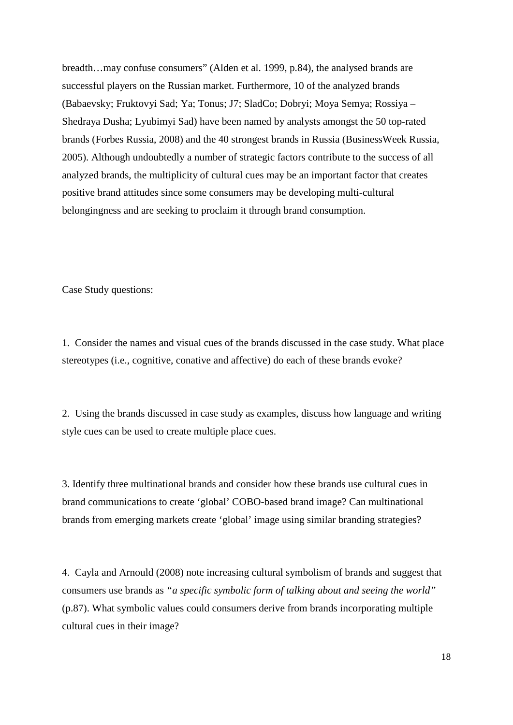breadth…may confuse consumers" (Alden et al. 1999, p.84), the analysed brands are successful players on the Russian market. Furthermore, 10 of the analyzed brands (Babaevsky; Fruktovyi Sad; Ya; Tonus; J7; SladCo; Dobryi; Moya Semya; Rossiya – Shedraya Dusha; Lyubimyi Sad) have been named by analysts amongst the 50 top-rated brands (Forbes Russia, 2008) and the 40 strongest brands in Russia (BusinessWeek Russia, 2005). Although undoubtedly a number of strategic factors contribute to the success of all analyzed brands, the multiplicity of cultural cues may be an important factor that creates positive brand attitudes since some consumers may be developing multi-cultural belongingness and are seeking to proclaim it through brand consumption.

Case Study questions:

1. Consider the names and visual cues of the brands discussed in the case study. What place stereotypes (i.e., cognitive, conative and affective) do each of these brands evoke?

2. Using the brands discussed in case study as examples, discuss how language and writing style cues can be used to create multiple place cues.

3. Identify three multinational brands and consider how these brands use cultural cues in brand communications to create 'global' COBO-based brand image? Can multinational brands from emerging markets create 'global' image using similar branding strategies?

4. Cayla and Arnould (2008) note increasing cultural symbolism of brands and suggest that consumers use brands as *"a specific symbolic form of talking about and seeing the world"* (p.87). What symbolic values could consumers derive from brands incorporating multiple cultural cues in their image?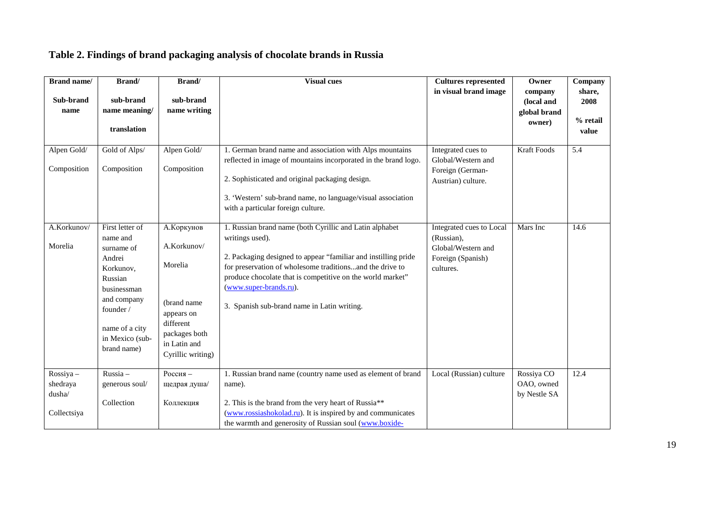# **Table 2. Findings of brand packaging analysis of chocolate brands in Russia**

| <b>Brand name/</b><br>Sub-brand<br>name        | Brand/<br>sub-brand<br>name meaning/<br>translation                                                                                                                        | Brand/<br>sub-brand<br>name writing                                                                                                   | <b>Visual cues</b>                                                                                                                                                                                                                                                                                                                              | <b>Cultures represented</b><br>in visual brand image                                           | Owner<br>company<br>(local and<br>global brand<br>owner) | Company<br>share,<br>2008<br>% retail<br>value |
|------------------------------------------------|----------------------------------------------------------------------------------------------------------------------------------------------------------------------------|---------------------------------------------------------------------------------------------------------------------------------------|-------------------------------------------------------------------------------------------------------------------------------------------------------------------------------------------------------------------------------------------------------------------------------------------------------------------------------------------------|------------------------------------------------------------------------------------------------|----------------------------------------------------------|------------------------------------------------|
| Alpen Gold/<br>Composition                     | Gold of Alps/<br>Composition                                                                                                                                               | Alpen Gold/<br>Composition                                                                                                            | 1. German brand name and association with Alps mountains<br>reflected in image of mountains incorporated in the brand logo.<br>2. Sophisticated and original packaging design.<br>3. 'Western' sub-brand name, no language/visual association<br>with a particular foreign culture.                                                             | Integrated cues to<br>Global/Western and<br>Foreign (German-<br>Austrian) culture.             | <b>Kraft Foods</b>                                       | $\overline{5.4}$                               |
| A.Korkunov/<br>Morelia                         | First letter of<br>name and<br>surname of<br>Andrei<br>Korkunov,<br>Russian<br>businessman<br>and company<br>founder /<br>name of a city<br>in Mexico (sub-<br>brand name) | А. Коркунов<br>A.Korkunov/<br>Morelia<br>(brand name<br>appears on<br>different<br>packages both<br>in Latin and<br>Cyrillic writing) | 1. Russian brand name (both Cyrillic and Latin alphabet<br>writings used).<br>2. Packaging designed to appear "familiar and instilling pride<br>for preservation of wholesome traditionsand the drive to<br>produce chocolate that is competitive on the world market"<br>(www.super-brands.ru).<br>3. Spanish sub-brand name in Latin writing. | Integrated cues to Local<br>(Russian),<br>Global/Western and<br>Foreign (Spanish)<br>cultures. | Mars Inc                                                 | 14.6                                           |
| Rossiya -<br>shedraya<br>dusha/<br>Collectsiya | Russia-<br>generous soul/<br>Collection                                                                                                                                    | Россия -<br>щедрая душа/<br>Коллекция                                                                                                 | 1. Russian brand name (country name used as element of brand<br>name).<br>2. This is the brand from the very heart of Russia**<br>(www.rossiashokolad.ru). It is inspired by and communicates<br>the warmth and generosity of Russian soul (www.boxide-                                                                                         | Local (Russian) culture                                                                        | Rossiya CO<br>OAO, owned<br>by Nestle SA                 | 12.4                                           |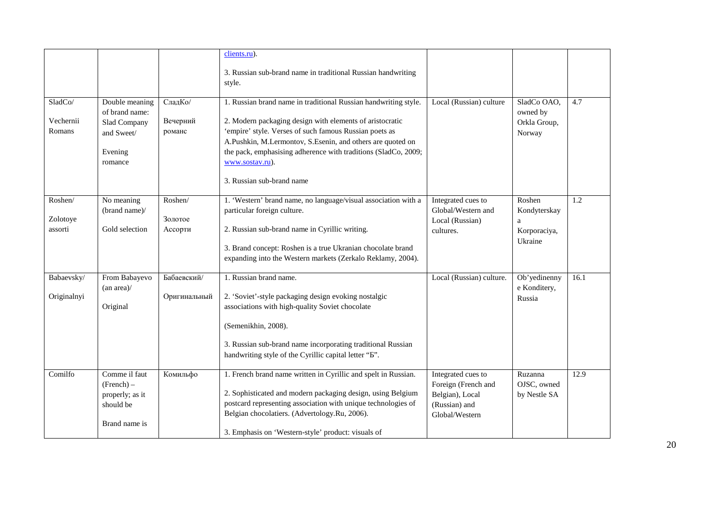|                                |                                                                                      |                               | clients.ru).                                                                                                                                                                                                                                                                                                                                                          |                                                                                                 |                                                        |      |
|--------------------------------|--------------------------------------------------------------------------------------|-------------------------------|-----------------------------------------------------------------------------------------------------------------------------------------------------------------------------------------------------------------------------------------------------------------------------------------------------------------------------------------------------------------------|-------------------------------------------------------------------------------------------------|--------------------------------------------------------|------|
|                                |                                                                                      |                               | 3. Russian sub-brand name in traditional Russian handwriting<br>style.                                                                                                                                                                                                                                                                                                |                                                                                                 |                                                        |      |
| SladCo/<br>Vechernii<br>Romans | Double meaning<br>of brand name:<br>Slad Company<br>and Sweet/<br>Evening<br>romance | СладКо/<br>Вечерний<br>романс | 1. Russian brand name in traditional Russian handwriting style.<br>2. Modern packaging design with elements of aristocratic<br>'empire' style. Verses of such famous Russian poets as<br>A.Pushkin, M.Lermontov, S.Esenin, and others are quoted on<br>the pack, emphasising adherence with traditions (SladCo, 2009;<br>www.sostav.ru).<br>3. Russian sub-brand name | Local (Russian) culture                                                                         | SladCo OAO.<br>owned by<br>Orkla Group,<br>Norway      | 4.7  |
| Roshen/<br>Zolotoye<br>assorti | No meaning<br>(brand name)/<br>Gold selection                                        | Roshen/<br>Золотое<br>Ассорти | 1. 'Western' brand name, no language/visual association with a<br>particular foreign culture.<br>2. Russian sub-brand name in Cyrillic writing.<br>3. Brand concept: Roshen is a true Ukranian chocolate brand<br>expanding into the Western markets (Zerkalo Reklamy, 2004).                                                                                         | Integrated cues to<br>Global/Western and<br>Local (Russian)<br>cultures.                        | Roshen<br>Kondyterskay<br>a<br>Korporaciya,<br>Ukraine | 1.2  |
| Babaevsky/<br>Originalnyi      | From Babayevo<br>$(an \text{ area})$ /<br>Original                                   | Бабаевский/<br>Оригинальный   | 1. Russian brand name.<br>2. 'Soviet'-style packaging design evoking nostalgic<br>associations with high-quality Soviet chocolate<br>(Semenikhin, 2008).<br>3. Russian sub-brand name incorporating traditional Russian<br>handwriting style of the Cyrillic capital letter "B".                                                                                      | Local (Russian) culture.                                                                        | Ob'yedinenny<br>e Konditery,<br>Russia                 | 16.1 |
| Comilfo                        | Comme il faut<br>$(French)$ –<br>properly; as it<br>should be<br>Brand name is       | Комильфо                      | 1. French brand name written in Cyrillic and spelt in Russian.<br>2. Sophisticated and modern packaging design, using Belgium<br>postcard representing association with unique technologies of<br>Belgian chocolatiers. (Advertology.Ru, 2006).<br>3. Emphasis on 'Western-style' product: visuals of                                                                 | Integrated cues to<br>Foreign (French and<br>Belgian), Local<br>(Russian) and<br>Global/Western | Ruzanna<br>OJSC, owned<br>by Nestle SA                 | 12.9 |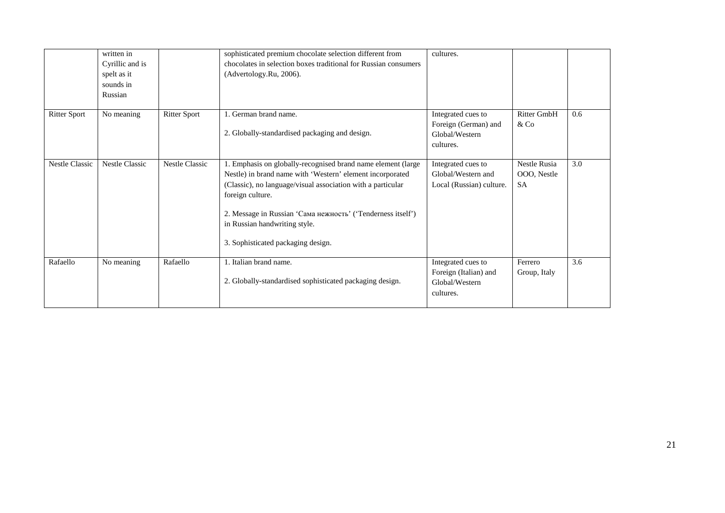|                       | written in<br>Cyrillic and is<br>spelt as it<br>sounds in<br>Russian |                       | sophisticated premium chocolate selection different from<br>chocolates in selection boxes traditional for Russian consumers<br>(Advertology.Ru, 2006).                                                                                                                                                                                             | cultures.                                                                  |                                                 |     |
|-----------------------|----------------------------------------------------------------------|-----------------------|----------------------------------------------------------------------------------------------------------------------------------------------------------------------------------------------------------------------------------------------------------------------------------------------------------------------------------------------------|----------------------------------------------------------------------------|-------------------------------------------------|-----|
| <b>Ritter Sport</b>   | No meaning                                                           | <b>Ritter Sport</b>   | . German brand name.<br>2. Globally-standardised packaging and design.                                                                                                                                                                                                                                                                             | Integrated cues to<br>Foreign (German) and<br>Global/Western<br>cultures.  | Ritter GmbH<br>$&$ Co                           | 0.6 |
| <b>Nestle Classic</b> | <b>Nestle Classic</b>                                                | <b>Nestle Classic</b> | 1. Emphasis on globally-recognised brand name element (large<br>Nestle) in brand name with 'Western' element incorporated<br>(Classic), no language/visual association with a particular<br>foreign culture.<br>2. Message in Russian 'Сама нежность' ('Tenderness itself')<br>in Russian handwriting style.<br>3. Sophisticated packaging design. | Integrated cues to<br>Global/Western and<br>Local (Russian) culture.       | <b>Nestle Rusia</b><br>OOO, Nestle<br><b>SA</b> | 3.0 |
| Rafaello              | No meaning                                                           | Rafaello              | Italian brand name.<br>2. Globally-standardised sophisticated packaging design.                                                                                                                                                                                                                                                                    | Integrated cues to<br>Foreign (Italian) and<br>Global/Western<br>cultures. | Ferrero<br>Group, Italy                         | 3.6 |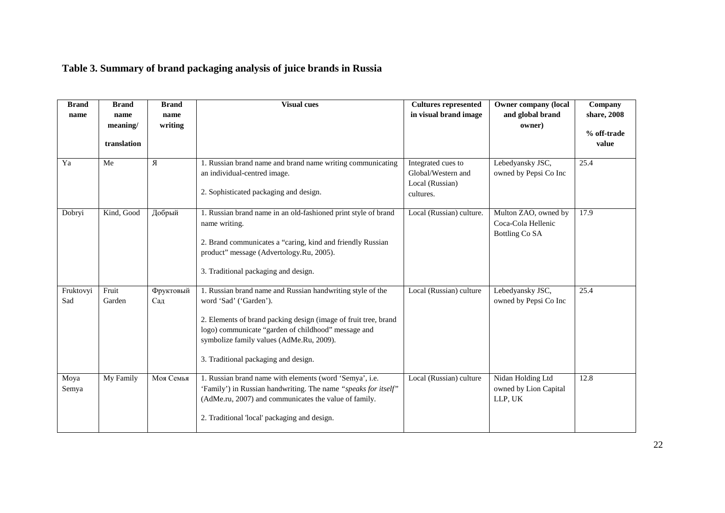# **Table 3. Summary of brand packaging analysis of juice brands in Russia**

| <b>Brand</b> | <b>Brand</b> | <b>Brand</b> | <b>Visual cues</b>                                              | <b>Cultures represented</b>           | <b>Owner company (local</b> | Company     |
|--------------|--------------|--------------|-----------------------------------------------------------------|---------------------------------------|-----------------------------|-------------|
| name         | name         | name         |                                                                 | in visual brand image                 | and global brand            | share, 2008 |
|              | meaning/     | writing      |                                                                 |                                       | owner)                      | % off-trade |
|              | translation  |              |                                                                 |                                       |                             | value       |
|              |              |              |                                                                 |                                       |                             |             |
| Ya           | Me           | Я            | 1. Russian brand name and brand name writing communicating      | Integrated cues to                    | Lebedyansky JSC,            | 25.4        |
|              |              |              | an individual-centred image.                                    | Global/Western and<br>Local (Russian) | owned by Pepsi Co Inc       |             |
|              |              |              | 2. Sophisticated packaging and design.                          | cultures.                             |                             |             |
|              |              |              |                                                                 |                                       |                             |             |
| Dobryi       | Kind, Good   | Добрый       | 1. Russian brand name in an old-fashioned print style of brand  | Local (Russian) culture.              | Multon ZAO, owned by        | 17.9        |
|              |              |              | name writing.                                                   |                                       | Coca-Cola Hellenic          |             |
|              |              |              | 2. Brand communicates a "caring, kind and friendly Russian      |                                       | Bottling Co SA              |             |
|              |              |              | product" message (Advertology.Ru, 2005).                        |                                       |                             |             |
|              |              |              |                                                                 |                                       |                             |             |
|              |              |              | 3. Traditional packaging and design.                            |                                       |                             |             |
| Fruktovyi    | Fruit        | Фруктовый    | 1. Russian brand name and Russian handwriting style of the      | Local (Russian) culture               | Lebedyansky JSC,            | 25.4        |
| Sad          | Garden       | Сад          | word 'Sad' ('Garden').                                          |                                       | owned by Pepsi Co Inc       |             |
|              |              |              | 2. Elements of brand packing design (image of fruit tree, brand |                                       |                             |             |
|              |              |              | logo) communicate "garden of childhood" message and             |                                       |                             |             |
|              |              |              | symbolize family values (AdMe.Ru, 2009).                        |                                       |                             |             |
|              |              |              | 3. Traditional packaging and design.                            |                                       |                             |             |
|              |              |              |                                                                 |                                       |                             |             |
| Moya         | My Family    | Моя Семья    | 1. Russian brand name with elements (word 'Semya', i.e.         | Local (Russian) culture               | Nidan Holding Ltd           | 12.8        |
| Semya        |              |              | 'Family') in Russian handwriting. The name "speaks for itself"  |                                       | owned by Lion Capital       |             |
|              |              |              | (AdMe.ru, 2007) and communicates the value of family.           |                                       | LLP, UK                     |             |
|              |              |              | 2. Traditional 'local' packaging and design.                    |                                       |                             |             |
|              |              |              |                                                                 |                                       |                             |             |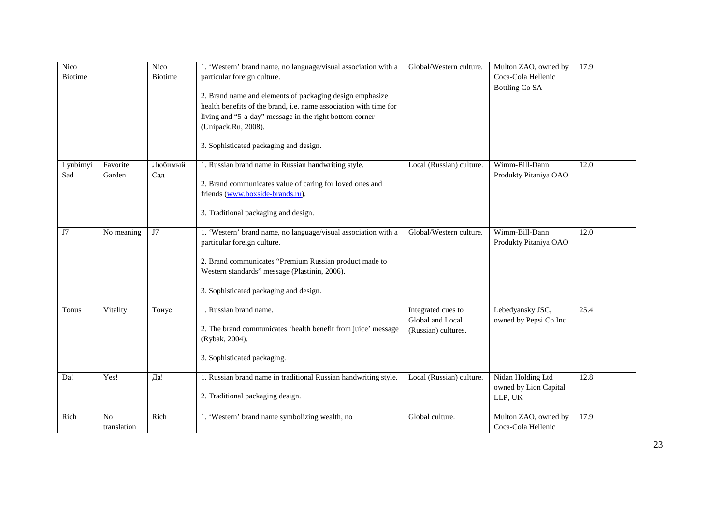| <b>Nico</b>     |                               | Nico           | 1. 'Western' brand name, no language/visual association with a                                                                                                                                                                                            | Global/Western culture.                                       | Multon ZAO, owned by                                  | 17.9 |
|-----------------|-------------------------------|----------------|-----------------------------------------------------------------------------------------------------------------------------------------------------------------------------------------------------------------------------------------------------------|---------------------------------------------------------------|-------------------------------------------------------|------|
| <b>Biotime</b>  |                               | <b>Biotime</b> | particular foreign culture.                                                                                                                                                                                                                               |                                                               | Coca-Cola Hellenic                                    |      |
|                 |                               |                | 2. Brand name and elements of packaging design emphasize<br>health benefits of the brand, i.e. name association with time for<br>living and "5-a-day" message in the right bottom corner<br>(Unipack.Ru, 2008).<br>3. Sophisticated packaging and design. |                                                               | Bottling Co SA                                        |      |
| Lyubimyi<br>Sad | Favorite<br>Garden            | Любимый<br>Сад | 1. Russian brand name in Russian handwriting style.<br>2. Brand communicates value of caring for loved ones and<br>friends (www.boxside-brands.ru).<br>3. Traditional packaging and design.                                                               | Local (Russian) culture.                                      | Wimm-Bill-Dann<br>Produkty Pitaniya OAO               | 12.0 |
| J7              | No meaning                    | J7             | 1. 'Western' brand name, no language/visual association with a<br>particular foreign culture.<br>2. Brand communicates "Premium Russian product made to<br>Western standards" message (Plastinin, 2006).<br>3. Sophisticated packaging and design.        | Global/Western culture.                                       | Wimm-Bill-Dann<br>Produkty Pitaniya OAO               | 12.0 |
| Tonus           | Vitality                      | Тонус          | 1. Russian brand name.<br>2. The brand communicates 'health benefit from juice' message<br>(Rybak, 2004).<br>3. Sophisticated packaging.                                                                                                                  | Integrated cues to<br>Global and Local<br>(Russian) cultures. | Lebedyansky JSC,<br>owned by Pepsi Co Inc             | 25.4 |
| Da!             | Yes!                          | Дa!            | 1. Russian brand name in traditional Russian handwriting style.<br>2. Traditional packaging design.                                                                                                                                                       | Local (Russian) culture.                                      | Nidan Holding Ltd<br>owned by Lion Capital<br>LLP, UK | 12.8 |
| Rich            | N <sub>o</sub><br>translation | Rich           | 1. 'Western' brand name symbolizing wealth, no                                                                                                                                                                                                            | Global culture.                                               | Multon ZAO, owned by<br>Coca-Cola Hellenic            | 17.9 |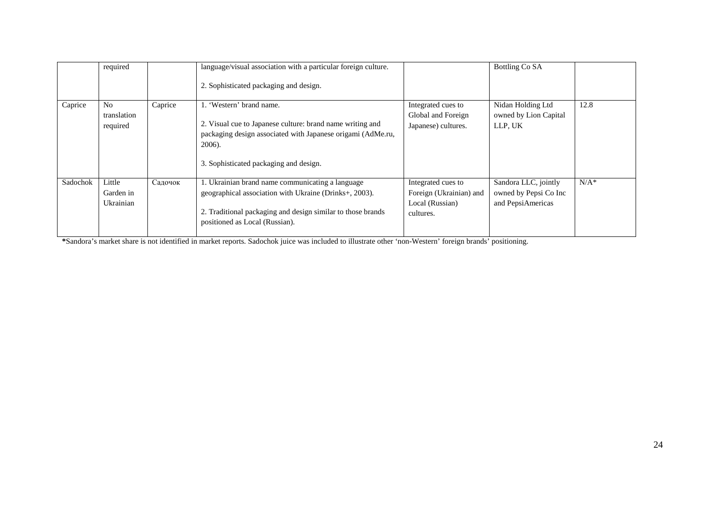|          | required                                  |         | language/visual association with a particular foreign culture.<br>2. Sophisticated packaging and design.                                                                                                    |                                                                               | Bottling Co SA                                                     |         |
|----------|-------------------------------------------|---------|-------------------------------------------------------------------------------------------------------------------------------------------------------------------------------------------------------------|-------------------------------------------------------------------------------|--------------------------------------------------------------------|---------|
| Caprice  | N <sub>0</sub><br>translation<br>required | Caprice | 1. 'Western' brand name.<br>2. Visual cue to Japanese culture: brand name writing and<br>packaging design associated with Japanese origami (AdMe.ru,<br>2006).<br>3. Sophisticated packaging and design.    | Integrated cues to<br>Global and Foreign<br>Japanese) cultures.               | Nidan Holding Ltd<br>owned by Lion Capital<br>LLP, UK              | 12.8    |
| Sadochok | Little<br>Garden in<br>Ukrainian          | Садочок | 1. Ukrainian brand name communicating a language<br>geographical association with Ukraine (Drinks+, 2003).<br>2. Traditional packaging and design similar to those brands<br>positioned as Local (Russian). | Integrated cues to<br>Foreign (Ukrainian) and<br>Local (Russian)<br>cultures. | Sandora LLC, jointly<br>owned by Pepsi Co Inc<br>and PepsiAmericas | $N/A^*$ |

\*Sandora's market share is not identified in market reports. Sadochok juice was included to illustrate other 'non-Western' foreign brands' positioning.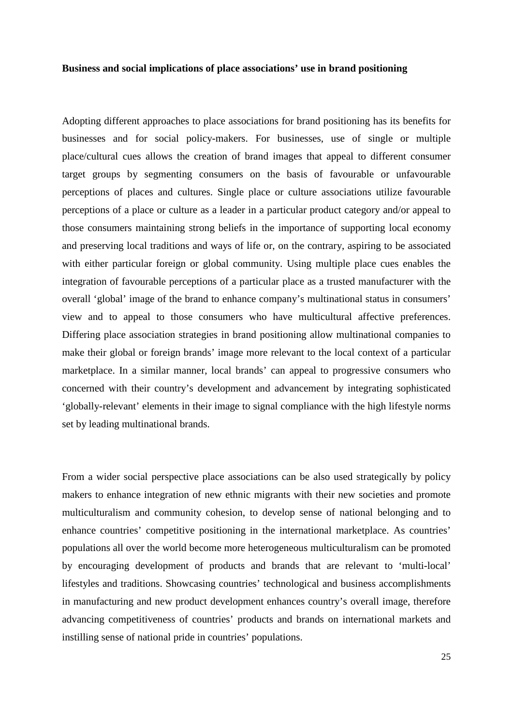### **Business and social implications of place associations' use in brand positioning**

Adopting different approaches to place associations for brand positioning has its benefits for businesses and for social policy-makers. For businesses, use of single or multiple place/cultural cues allows the creation of brand images that appeal to different consumer target groups by segmenting consumers on the basis of favourable or unfavourable perceptions of places and cultures. Single place or culture associations utilize favourable perceptions of a place or culture as a leader in a particular product category and/or appeal to those consumers maintaining strong beliefs in the importance of supporting local economy and preserving local traditions and ways of life or, on the contrary, aspiring to be associated with either particular foreign or global community. Using multiple place cues enables the integration of favourable perceptions of a particular place as a trusted manufacturer with the overall 'global' image of the brand to enhance company's multinational status in consumers' view and to appeal to those consumers who have multicultural affective preferences. Differing place association strategies in brand positioning allow multinational companies to make their global or foreign brands' image more relevant to the local context of a particular marketplace. In a similar manner, local brands' can appeal to progressive consumers who concerned with their country's development and advancement by integrating sophisticated 'globally-relevant' elements in their image to signal compliance with the high lifestyle norms set by leading multinational brands.

From a wider social perspective place associations can be also used strategically by policy makers to enhance integration of new ethnic migrants with their new societies and promote multiculturalism and community cohesion, to develop sense of national belonging and to enhance countries' competitive positioning in the international marketplace. As countries' populations all over the world become more heterogeneous multiculturalism can be promoted by encouraging development of products and brands that are relevant to 'multi-local' lifestyles and traditions. Showcasing countries' technological and business accomplishments in manufacturing and new product development enhances country's overall image, therefore advancing competitiveness of countries' products and brands on international markets and instilling sense of national pride in countries' populations.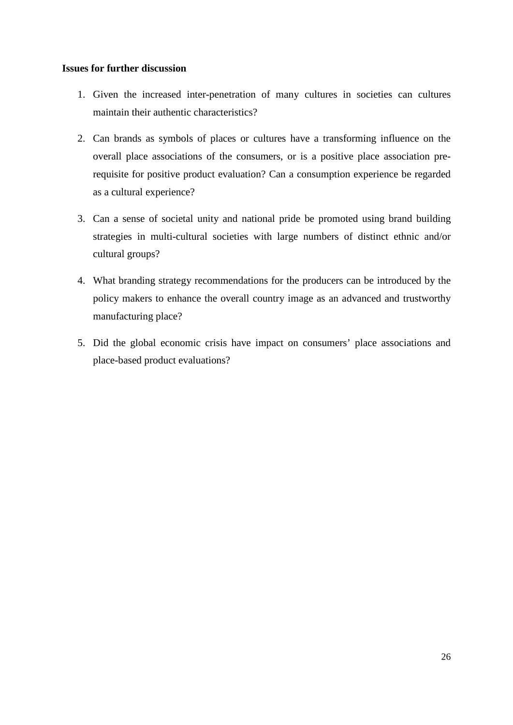# **Issues for further discussion**

- 1. Given the increased inter-penetration of many cultures in societies can cultures maintain their authentic characteristics?
- 2. Can brands as symbols of places or cultures have a transforming influence on the overall place associations of the consumers, or is a positive place association prerequisite for positive product evaluation? Can a consumption experience be regarded as a cultural experience?
- 3. Can a sense of societal unity and national pride be promoted using brand building strategies in multi-cultural societies with large numbers of distinct ethnic and/or cultural groups?
- 4. What branding strategy recommendations for the producers can be introduced by the policy makers to enhance the overall country image as an advanced and trustworthy manufacturing place?
- 5. Did the global economic crisis have impact on consumers' place associations and place-based product evaluations?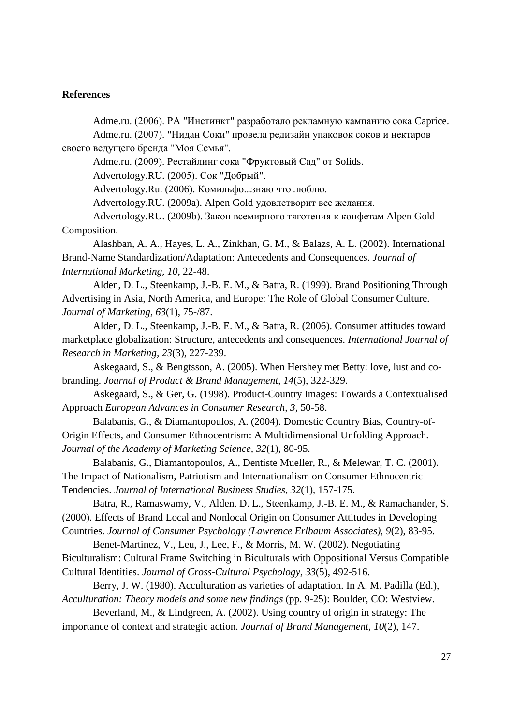# **References**

Adme.ru. (2006). РА "Инстинкт" разработало рекламную кампанию сока Caprice. Adme.ru. (2007). "Нидан Соки" провела редизайн упаковок соков и нектаров

своего ведущего бренда "Моя Семья".

Adme.ru. (2009). Рестайлинг сока "Фруктовый Сад" от Solids.

Advertology.RU. (2005). Сок "Добрый".

Advertology.Ru. (2006). Комильфо...знаю что люблю.

Advertology.RU. (2009a). Alpen Gold удовлетворит все желания.

Advertology.RU. (2009b). Закон всемирного тяготения к конфетам Alpen Gold Composition.

Alashban, A. A., Hayes, L. A., Zinkhan, G. M., & Balazs, A. L. (2002). International Brand-Name Standardization/Adaptation: Antecedents and Consequences. *Journal of International Marketing, 10,* 22-48.

Alden, D. L., Steenkamp, J.-B. E. M., & Batra, R. (1999). Brand Positioning Through Advertising in Asia, North America, and Europe: The Role of Global Consumer Culture. *Journal of Marketing, 63*(1), 75-/87.

Alden, D. L., Steenkamp, J.-B. E. M., & Batra, R. (2006). Consumer attitudes toward marketplace globalization: Structure, antecedents and consequences. *International Journal of Research in Marketing, 23*(3), 227-239.

Askegaard, S., & Bengtsson, A. (2005). When Hershey met Betty: love, lust and cobranding. *Journal of Product & Brand Management, 14*(5), 322-329.

Askegaard, S., & Ger, G. (1998). Product-Country Images: Towards a Contextualised Approach *European Advances in Consumer Research, 3*, 50-58.

Balabanis, G., & Diamantopoulos, A. (2004). Domestic Country Bias, Country-of-Origin Effects, and Consumer Ethnocentrism: A Multidimensional Unfolding Approach. *Journal of the Academy of Marketing Science, 32*(1), 80-95.

Balabanis, G., Diamantopoulos, A., Dentiste Mueller, R., & Melewar, T. C. (2001). The Impact of Nationalism, Patriotism and Internationalism on Consumer Ethnocentric Tendencies. *Journal of International Business Studies, 32*(1), 157-175.

Batra, R., Ramaswamy, V., Alden, D. L., Steenkamp, J.-B. E. M., & Ramachander, S. (2000). Effects of Brand Local and Nonlocal Origin on Consumer Attitudes in Developing

Countries. *Journal of Consumer Psychology (Lawrence Erlbaum Associates), 9*(2), 83-95.

Benet-Martinez, V., Leu, J., Lee, F., & Morris, M. W. (2002). Negotiating Biculturalism: Cultural Frame Switching in Biculturals with Oppositional Versus Compatible Cultural Identities. *Journal of Cross-Cultural Psychology, 33*(5), 492-516.

Berry, J. W. (1980). Acculturation as varieties of adaptation. In A. M. Padilla (Ed.), *Acculturation: Theory models and some new findings* (pp. 9-25): Boulder, CO: Westview.

Beverland, M., & Lindgreen, A. (2002). Using country of origin in strategy: The importance of context and strategic action. *Journal of Brand Management, 10*(2), 147.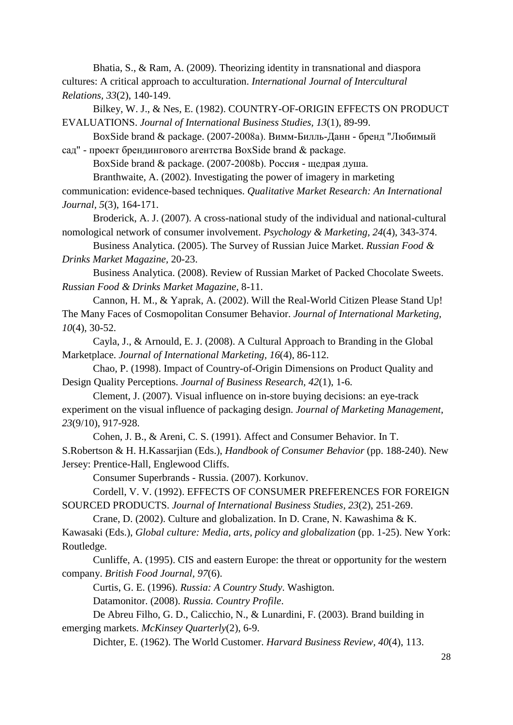Bhatia, S., & Ram, A. (2009). Theorizing identity in transnational and diaspora cultures: A critical approach to acculturation. *International Journal of Intercultural Relations, 33*(2), 140-149.

Bilkey, W. J., & Nes, E. (1982). COUNTRY-OF-ORIGIN EFFECTS ON PRODUCT EVALUATIONS. *Journal of International Business Studies, 13*(1), 89-99.

BoxSide brand & package. (2007-2008a). Вимм-Билль-Данн - бренд "Любимый сад" - проект брендингового агентства BoxSide brand & package.

BoxSide brand & package. (2007-2008b). Россия - щедрая душа.

Branthwaite, A. (2002). Investigating the power of imagery in marketing communication: evidence-based techniques. *Qualitative Market Research: An International Journal, 5*(3), 164-171.

Broderick, A. J. (2007). A cross-national study of the individual and national-cultural nomological network of consumer involvement. *Psychology & Marketing, 24*(4), 343-374.

Business Analytica. (2005). The Survey of Russian Juice Market. *Russian Food & Drinks Market Magazine,* 20-23.

Business Analytica. (2008). Review of Russian Market of Packed Chocolate Sweets. *Russian Food & Drinks Market Magazine,* 8-11.

Cannon, H. M., & Yaprak, A. (2002). Will the Real-World Citizen Please Stand Up! The Many Faces of Cosmopolitan Consumer Behavior. *Journal of International Marketing, 10*(4), 30-52.

Cayla, J., & Arnould, E. J. (2008). A Cultural Approach to Branding in the Global Marketplace. *Journal of International Marketing, 16*(4), 86-112.

Chao, P. (1998). Impact of Country-of-Origin Dimensions on Product Quality and Design Quality Perceptions. *Journal of Business Research, 42*(1), 1-6.

Clement, J. (2007). Visual influence on in-store buying decisions: an eye-track experiment on the visual influence of packaging design. *Journal of Marketing Management, 23*(9/10), 917-928.

Cohen, J. B., & Areni, C. S. (1991). Affect and Consumer Behavior. In T. S.Robertson & H. H.Kassarjian (Eds.), *Handbook of Consumer Behavior* (pp. 188-240). New Jersey: Prentice-Hall, Englewood Cliffs.

Consumer Superbrands - Russia. (2007). Korkunov.

Cordell, V. V. (1992). EFFECTS OF CONSUMER PREFERENCES FOR FOREIGN SOURCED PRODUCTS. *Journal of International Business Studies, 23*(2), 251-269.

Crane, D. (2002). Culture and globalization. In D. Crane, N. Kawashima & K.

Kawasaki (Eds.), *Global culture: Media, arts, policy and globalization* (pp. 1-25). New York: Routledge.

Cunliffe, A. (1995). CIS and eastern Europe: the threat or opportunity for the western company. *British Food Journal, 97*(6).

Curtis, G. E. (1996). *Russia: A Country Study*. Washigton.

Datamonitor. (2008). *Russia. Country Profile*.

De Abreu Filho, G. D., Calicchio, N., & Lunardini, F. (2003). Brand building in emerging markets. *McKinsey Quarterly*(2), 6-9.

Dichter, E. (1962). The World Customer. *Harvard Business Review, 40*(4), 113.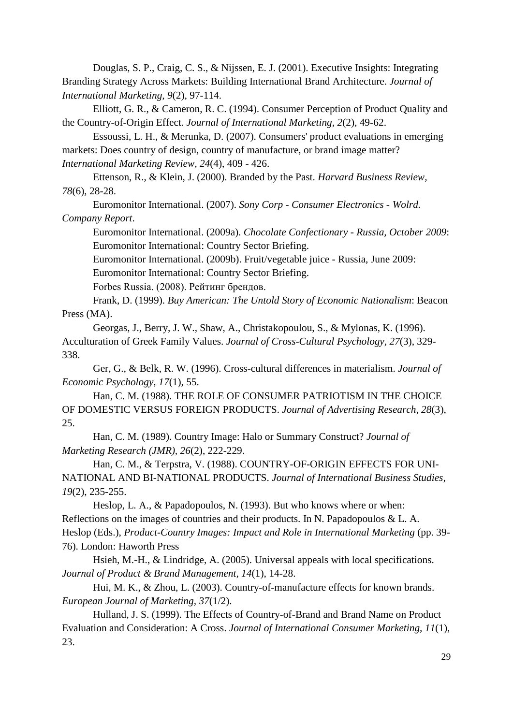Douglas, S. P., Craig, C. S., & Nijssen, E. J. (2001). Executive Insights: Integrating Branding Strategy Across Markets: Building International Brand Architecture. *Journal of International Marketing, 9*(2), 97-114.

Elliott, G. R., & Cameron, R. C. (1994). Consumer Perception of Product Quality and the Country-of-Origin Effect. *Journal of International Marketing, 2*(2), 49-62.

Essoussi, L. H., & Merunka, D. (2007). Consumers' product evaluations in emerging markets: Does country of design, country of manufacture, or brand image matter? *International Marketing Review, 24*(4), 409 - 426.

Ettenson, R., & Klein, J. (2000). Branded by the Past. *Harvard Business Review, 78*(6), 28-28.

Euromonitor International. (2007). *Sony Corp - Consumer Electronics - Wolrd. Company Report*.

Euromonitor International. (2009a). *Chocolate Confectionary - Russia, October 2009*: Euromonitor International: Country Sector Briefing.

Euromonitor International. (2009b). Fruit/vegetable juice - Russia, June 2009:

Euromonitor International: Country Sector Briefing.

Forbes Russia. (2008). Рейтинг брендов.

Frank, D. (1999). *Buy American: The Untold Story of Economic Nationalism*: Beacon Press (MA).

Georgas, J., Berry, J. W., Shaw, A., Christakopoulou, S., & Mylonas, K. (1996). Acculturation of Greek Family Values. *Journal of Cross-Cultural Psychology, 27*(3), 329- 338.

Ger, G., & Belk, R. W. (1996). Cross-cultural differences in materialism. *Journal of Economic Psychology, 17*(1), 55.

Han, C. M. (1988). THE ROLE OF CONSUMER PATRIOTISM IN THE CHOICE OF DOMESTIC VERSUS FOREIGN PRODUCTS. *Journal of Advertising Research, 28*(3), 25.

Han, C. M. (1989). Country Image: Halo or Summary Construct? *Journal of Marketing Research (JMR), 26*(2), 222-229.

Han, C. M., & Terpstra, V. (1988). COUNTRY-OF-ORIGIN EFFECTS FOR UNI-NATIONAL AND BI-NATIONAL PRODUCTS. *Journal of International Business Studies, 19*(2), 235-255.

Heslop, L. A., & Papadopoulos, N. (1993). But who knows where or when: Reflections on the images of countries and their products. In N. Papadopoulos & L. A. Heslop (Eds.), *Product-Country Images: Impact and Role in International Marketing* (pp. 39- 76). London: Haworth Press

Hsieh, M.-H., & Lindridge, A. (2005). Universal appeals with local specifications. *Journal of Product & Brand Management, 14*(1), 14-28.

Hui, M. K., & Zhou, L. (2003). Country-of-manufacture effects for known brands. *European Journal of Marketing, 37*(1/2).

Hulland, J. S. (1999). The Effects of Country-of-Brand and Brand Name on Product Evaluation and Consideration: A Cross. *Journal of International Consumer Marketing, 11*(1), 23.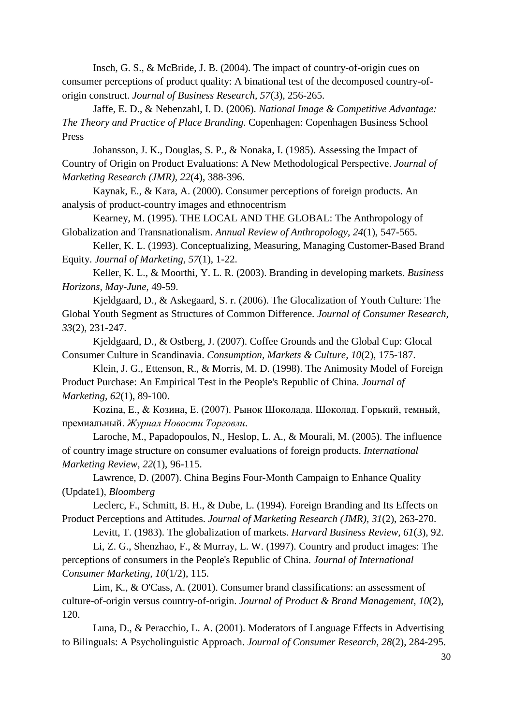Insch, G. S., & McBride, J. B. (2004). The impact of country-of-origin cues on consumer perceptions of product quality: A binational test of the decomposed country-oforigin construct. *Journal of Business Research, 57*(3), 256-265.

Jaffe, E. D., & Nebenzahl, I. D. (2006). *National Image & Competitive Advantage: The Theory and Practice of Place Branding*. Copenhagen: Copenhagen Business School Press

Johansson, J. K., Douglas, S. P., & Nonaka, I. (1985). Assessing the Impact of Country of Origin on Product Evaluations: A New Methodological Perspective. *Journal of Marketing Research (JMR), 22*(4), 388-396.

Kaynak, E., & Kara, A. (2000). Consumer perceptions of foreign products. An analysis of product-country images and ethnocentrism

Kearney, M. (1995). THE LOCAL AND THE GLOBAL: The Anthropology of Globalization and Transnationalism. *Annual Review of Anthropology, 24*(1), 547-565.

Keller, K. L. (1993). Conceptualizing, Measuring, Managing Customer-Based Brand Equity. *Journal of Marketing, 57*(1), 1-22.

Keller, K. L., & Moorthi, Y. L. R. (2003). Branding in developing markets. *Business Horizons, May-June*, 49-59.

Kjeldgaard, D., & Askegaard, S. r. (2006). The Glocalization of Youth Culture: The Global Youth Segment as Structures of Common Difference. *Journal of Consumer Research, 33*(2), 231-247.

Kjeldgaard, D., & Ostberg, J. (2007). Coffee Grounds and the Global Cup: Glocal Consumer Culture in Scandinavia. *Consumption, Markets & Culture, 10*(2), 175-187.

Klein, J. G., Ettenson, R., & Morris, M. D. (1998). The Animosity Model of Foreign Product Purchase: An Empirical Test in the People's Republic of China. *Journal of Marketing, 62*(1), 89-100.

Kozina, E., & Козина, Е. (2007). Рынок Шоколада. Шоколад. Горький, темный, премиальный. *Журнал Новости Торговли*.

Laroche, M., Papadopoulos, N., Heslop, L. A., & Mourali, M. (2005). The influence of country image structure on consumer evaluations of foreign products. *International Marketing Review, 22*(1), 96-115.

Lawrence, D. (2007). China Begins Four-Month Campaign to Enhance Quality (Update1), *Bloomberg* 

Leclerc, F., Schmitt, B. H., & Dube, L. (1994). Foreign Branding and Its Effects on Product Perceptions and Attitudes. *Journal of Marketing Research (JMR), 31*(2), 263-270.

Levitt, T. (1983). The globalization of markets. *Harvard Business Review, 61*(3), 92.

Li, Z. G., Shenzhao, F., & Murray, L. W. (1997). Country and product images: The perceptions of consumers in the People's Republic of China. *Journal of International Consumer Marketing, 10*(1/2), 115.

Lim, K., & O'Cass, A. (2001). Consumer brand classifications: an assessment of culture-of-origin versus country-of-origin. *Journal of Product & Brand Management, 10*(2), 120.

Luna, D., & Peracchio, L. A. (2001). Moderators of Language Effects in Advertising to Bilinguals: A Psycholinguistic Approach. *Journal of Consumer Research, 28*(2), 284-295.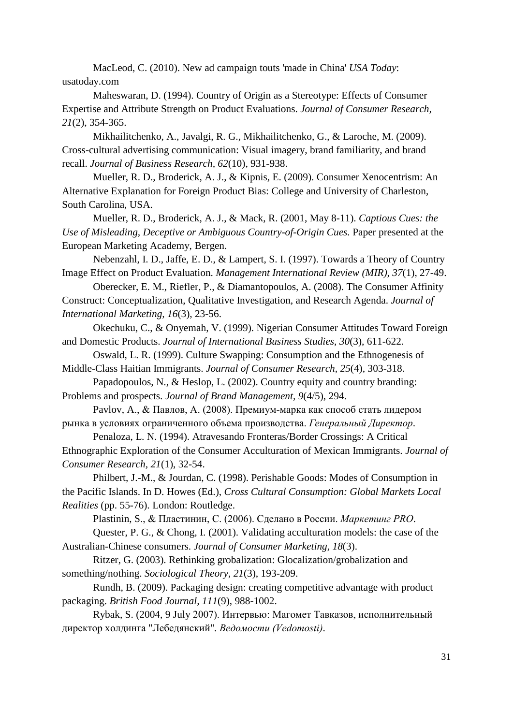MacLeod, C. (2010). New ad campaign touts 'made in China' *USA Today*: usatoday.com

Maheswaran, D. (1994). Country of Origin as a Stereotype: Effects of Consumer Expertise and Attribute Strength on Product Evaluations. *Journal of Consumer Research, 21*(2), 354-365.

Mikhailitchenko, A., Javalgi, R. G., Mikhailitchenko, G., & Laroche, M. (2009). Cross-cultural advertising communication: Visual imagery, brand familiarity, and brand recall. *Journal of Business Research, 62*(10), 931-938.

Mueller, R. D., Broderick, A. J., & Kipnis, E. (2009). Consumer Xenocentrism: An Alternative Explanation for Foreign Product Bias: College and University of Charleston, South Carolina, USA.

Mueller, R. D., Broderick, A. J., & Mack, R. (2001, May 8-11). *Captious Cues: the Use of Misleading, Deceptive or Ambiguous Country-of-Origin Cues.* Paper presented at the European Marketing Academy, Bergen.

Nebenzahl, I. D., Jaffe, E. D., & Lampert, S. I. (1997). Towards a Theory of Country Image Effect on Product Evaluation. *Management International Review (MIR), 37*(1), 27-49.

Oberecker, E. M., Riefler, P., & Diamantopoulos, A. (2008). The Consumer Affinity Construct: Conceptualization, Qualitative Investigation, and Research Agenda. *Journal of International Marketing, 16*(3), 23-56.

Okechuku, C., & Onyemah, V. (1999). Nigerian Consumer Attitudes Toward Foreign and Domestic Products. *Journal of International Business Studies, 30*(3), 611-622.

Oswald, L. R. (1999). Culture Swapping: Consumption and the Ethnogenesis of Middle-Class Haitian Immigrants. *Journal of Consumer Research, 25*(4), 303-318.

Papadopoulos, N., & Heslop, L. (2002). Country equity and country branding: Problems and prospects. *Journal of Brand Management, 9*(4/5), 294.

Pavlov, A., & Павлов, А. (2008). Премиум-марка как способ стать лидером рынка в условиях ограниченного объема производства. *Генеральный Директор*.

Penaloza, L. N. (1994). Atravesando Fronteras/Border Crossings: A Critical Ethnographic Exploration of the Consumer Acculturation of Mexican Immigrants. *Journal of Consumer Research, 21*(1), 32-54.

Philbert, J.-M., & Jourdan, C. (1998). Perishable Goods: Modes of Consumption in the Pacific Islands. In D. Howes (Ed.), *Cross Cultural Consumption: Global Markets Local Realities* (pp. 55-76). London: Routledge.

Plastinin, S., & Пластинин, С. (2006). Сделано в России. *Маркетинг PRO*.

Quester, P. G., & Chong, I. (2001). Validating acculturation models: the case of the Australian-Chinese consumers. *Journal of Consumer Marketing, 18*(3).

Ritzer, G. (2003). Rethinking grobalization: Glocalization/grobalization and something/nothing. *Sociological Theory, 21*(3), 193-209.

Rundh, B. (2009). Packaging design: creating competitive advantage with product packaging. *British Food Journal, 111*(9), 988-1002.

Rybak, S. (2004, 9 July 2007). Интервью: Магомет Тавказов, исполнительный директор холдинга "Лебедянский"*. Ведомости (Vedomosti)*.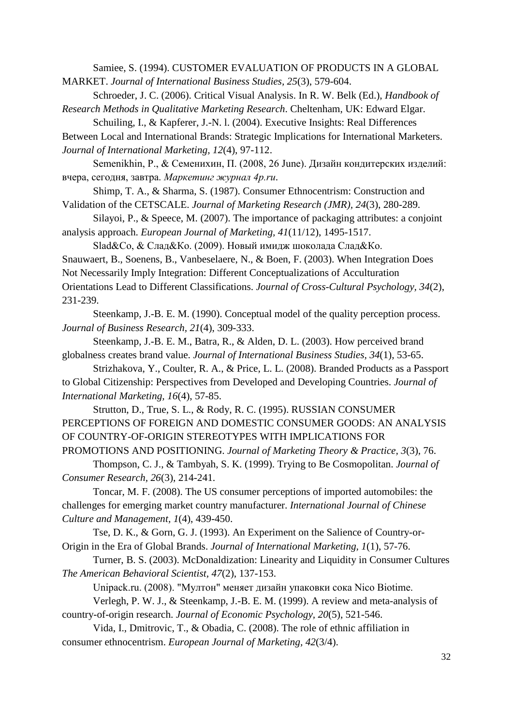Samiee, S. (1994). CUSTOMER EVALUATION OF PRODUCTS IN A GLOBAL MARKET. *Journal of International Business Studies, 25*(3), 579-604.

Schroeder, J. C. (2006). Critical Visual Analysis. In R. W. Belk (Ed.), *Handbook of Research Methods in Qualitative Marketing Research*. Cheltenham, UK: Edward Elgar.

Schuiling, I., & Kapferer, J.-N. l. (2004). Executive Insights: Real Differences Between Local and International Brands: Strategic Implications for International Marketers. *Journal of International Marketing, 12*(4), 97-112.

Semenikhin, P., & Семенихин, П. (2008, 26 June). Дизайн кондитерских изделий: вчера, сегодня, завтра. *Маркетинг журнал 4p.ru*.

Shimp, T. A., & Sharma, S. (1987). Consumer Ethnocentrism: Construction and Validation of the CETSCALE. *Journal of Marketing Research (JMR), 24*(3), 280-289.

Silayoi, P., & Speece, M. (2007). The importance of packaging attributes: a conjoint analysis approach. *European Journal of Marketing, 41*(11/12), 1495-1517.

Slad&Co, & Слад&Ко. (2009). Новый имидж шоколада Слад&Ко. Snauwaert, B., Soenens, B., Vanbeselaere, N., & Boen, F. (2003). When Integration Does Not Necessarily Imply Integration: Different Conceptualizations of Acculturation Orientations Lead to Different Classifications. *Journal of Cross-Cultural Psychology, 34*(2), 231-239.

Steenkamp, J.-B. E. M. (1990). Conceptual model of the quality perception process. *Journal of Business Research, 21*(4), 309-333.

Steenkamp, J.-B. E. M., Batra, R., & Alden, D. L. (2003). How perceived brand globalness creates brand value. *Journal of International Business Studies, 34*(1), 53-65.

Strizhakova, Y., Coulter, R. A., & Price, L. L. (2008). Branded Products as a Passport to Global Citizenship: Perspectives from Developed and Developing Countries. *Journal of International Marketing, 16*(4), 57-85.

Strutton, D., True, S. L., & Rody, R. C. (1995). RUSSIAN CONSUMER PERCEPTIONS OF FOREIGN AND DOMESTIC CONSUMER GOODS: AN ANALYSIS OF COUNTRY-OF-ORIGIN STEREOTYPES WITH IMPLICATIONS FOR

PROMOTIONS AND POSITIONING. *Journal of Marketing Theory & Practice, 3*(3), 76. Thompson, C. J., & Tambyah, S. K. (1999). Trying to Be Cosmopolitan. *Journal of Consumer Research, 26*(3), 214-241.

Toncar, M. F. (2008). The US consumer perceptions of imported automobiles: the challenges for emerging market country manufacturer. *International Journal of Chinese Culture and Management, 1*(4), 439-450.

Tse, D. K., & Gorn, G. J. (1993). An Experiment on the Salience of Country-or-Origin in the Era of Global Brands. *Journal of International Marketing, 1*(1), 57-76.

Turner, B. S. (2003). McDonaldization: Linearity and Liquidity in Consumer Cultures *The American Behavioral Scientist, 47*(2), 137-153.

Unipack.ru. (2008). "Мултон" меняет дизайн упаковки сока Nico Biotime.

Verlegh, P. W. J., & Steenkamp, J.-B. E. M. (1999). A review and meta-analysis of country-of-origin research. *Journal of Economic Psychology, 20*(5), 521-546.

Vida, I., Dmitrovic, T., & Obadia, C. (2008). The role of ethnic affiliation in consumer ethnocentrism. *European Journal of Marketing, 42*(3/4).